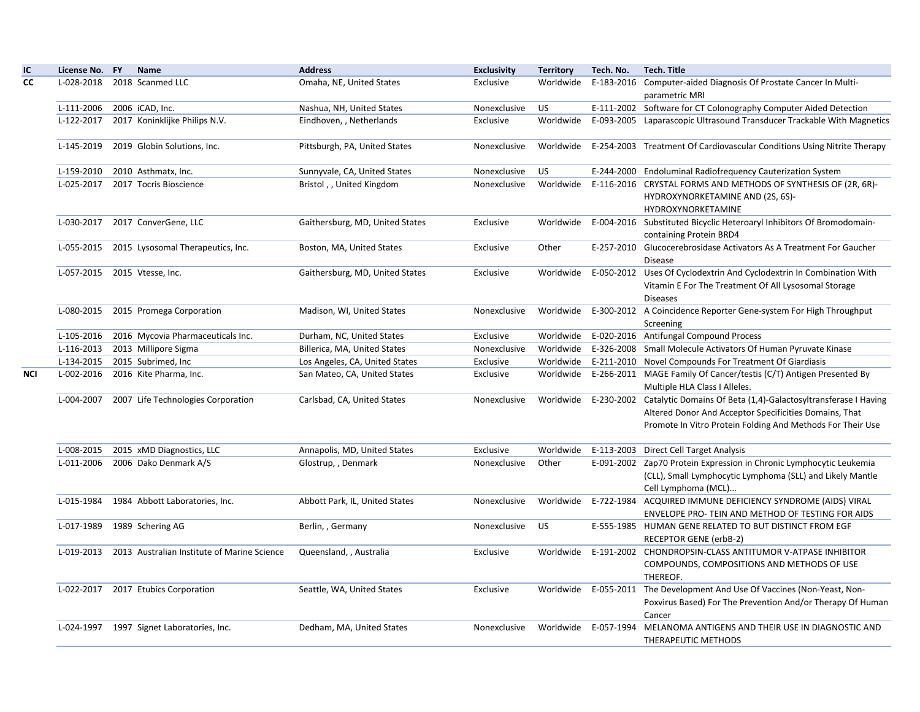| ΙC  | License No. FY               | Name                                          | <b>Address</b>                  | <b>Exclusivity</b> | <b>Territory</b> | Tech. No. | Tech. Title                                                                                                                                                                                                 |
|-----|------------------------------|-----------------------------------------------|---------------------------------|--------------------|------------------|-----------|-------------------------------------------------------------------------------------------------------------------------------------------------------------------------------------------------------------|
| СC  | L-028-2018                   | 2018 Scanmed LLC                              | Omaha, NE, United States        | Exclusive          | Worldwide        |           | E-183-2016 Computer-aided Diagnosis Of Prostate Cancer In Multi-<br>parametric MRI                                                                                                                          |
|     | L-111-2006                   | 2006 iCAD, Inc.                               | Nashua, NH, United States       | Nonexclusive       | <b>US</b>        |           | E-111-2002 Software for CT Colonography Computer Aided Detection                                                                                                                                            |
|     | L-122-2017                   | 2017 Koninklijke Philips N.V.                 | Eindhoven, , Netherlands        | Exclusive          | Worldwide        |           | E-093-2005 Laparascopic Ultrasound Transducer Trackable With Magnetics                                                                                                                                      |
|     | L-145-2019                   | 2019 Globin Solutions, Inc.                   | Pittsburgh, PA, United States   | Nonexclusive       | Worldwide        |           | E-254-2003 Treatment Of Cardiovascular Conditions Using Nitrite Therapy                                                                                                                                     |
|     | L-159-2010                   | 2010 Asthmatx, Inc.                           | Sunnyvale, CA, United States    | Nonexclusive       | <b>US</b>        |           | E-244-2000 Endoluminal Radiofrequency Cauterization System                                                                                                                                                  |
|     | L-025-2017                   | 2017 Tocris Bioscience                        | Bristol,, United Kingdom        | Nonexclusive       | Worldwide        |           | E-116-2016 CRYSTAL FORMS AND METHODS OF SYNTHESIS OF (2R, 6R)-<br>HYDROXYNORKETAMINE AND (2S, 6S)-<br>HYDROXYNORKETAMINE                                                                                    |
|     | L-030-2017                   | 2017 ConverGene, LLC                          | Gaithersburg, MD, United States | Exclusive          | Worldwide        |           | E-004-2016 Substituted Bicyclic Heteroaryl Inhibitors Of Bromodomain-<br>containing Protein BRD4                                                                                                            |
|     | L-055-2015                   | 2015 Lysosomal Therapeutics, Inc.             | Boston, MA, United States       | Exclusive          | Other            |           | E-257-2010 Glucocerebrosidase Activators As A Treatment For Gaucher<br><b>Disease</b>                                                                                                                       |
|     | L-057-2015 2015 Vtesse, Inc. |                                               | Gaithersburg, MD, United States | Exclusive          | Worldwide        |           | E-050-2012 Uses Of Cyclodextrin And Cyclodextrin In Combination With<br>Vitamin E For The Treatment Of All Lysosomal Storage<br><b>Diseases</b>                                                             |
|     | L-080-2015                   | 2015 Promega Corporation                      | Madison, WI, United States      | Nonexclusive       | Worldwide        |           | E-300-2012 A Coincidence Reporter Gene-system For High Throughput<br>Screening                                                                                                                              |
|     | L-105-2016                   | 2016 Mycovia Pharmaceuticals Inc.             | Durham, NC, United States       | Exclusive          | Worldwide        |           | E-020-2016 Antifungal Compound Process                                                                                                                                                                      |
|     | L-116-2013                   | 2013 Millipore Sigma                          | Billerica, MA, United States    | Nonexclusive       | Worldwide        |           | E-326-2008 Small Molecule Activators Of Human Pyruvate Kinase                                                                                                                                               |
|     | L-134-2015                   | 2015 Subrimed, Inc                            | Los Angeles, CA, United States  | Exclusive          | Worldwide        |           | E-211-2010 Novel Compounds For Treatment Of Giardiasis                                                                                                                                                      |
| NCI | L-002-2016                   | 2016 Kite Pharma, Inc.                        | San Mateo, CA, United States    | Exclusive          | Worldwide        |           | E-266-2011 MAGE Family Of Cancer/testis (C/T) Antigen Presented By<br>Multiple HLA Class I Alleles.                                                                                                         |
|     |                              | L-004-2007 2007 Life Technologies Corporation | Carlsbad, CA, United States     | Nonexclusive       |                  |           | Worldwide E-230-2002 Catalytic Domains Of Beta (1,4)-Galactosyltransferase I Having<br>Altered Donor And Acceptor Specificities Domains, That<br>Promote In Vitro Protein Folding And Methods For Their Use |
|     | L-008-2015                   | 2015 xMD Diagnostics, LLC                     | Annapolis, MD, United States    | Exclusive          | Worldwide        |           | E-113-2003 Direct Cell Target Analysis                                                                                                                                                                      |
|     |                              | L-011-2006 2006 Dako Denmark A/S              | Glostrup, , Denmark             | Nonexclusive       | Other            |           | E-091-2002 Zap70 Protein Expression in Chronic Lymphocytic Leukemia<br>(CLL), Small Lymphocytic Lymphoma (SLL) and Likely Mantle<br>Cell Lymphoma (MCL)                                                     |
|     | L-015-1984                   | 1984 Abbott Laboratories, Inc.                | Abbott Park, IL, United States  | Nonexclusive       | Worldwide        |           | E-722-1984 ACQUIRED IMMUNE DEFICIENCY SYNDROME (AIDS) VIRAL<br>ENVELOPE PRO- TEIN AND METHOD OF TESTING FOR AIDS                                                                                            |
|     | L-017-1989                   | 1989 Schering AG                              | Berlin, , Germany               | Nonexclusive       | US               |           | E-555-1985 HUMAN GENE RELATED TO BUT DISTINCT FROM EGF<br>RECEPTOR GENE (erbB-2)                                                                                                                            |
|     | L-019-2013                   | 2013 Australian Institute of Marine Science   | Queensland, , Australia         | Exclusive          | Worldwide        |           | E-191-2002 CHONDROPSIN-CLASS ANTITUMOR V-ATPASE INHIBITOR<br>COMPOUNDS, COMPOSITIONS AND METHODS OF USE<br>THEREOF.                                                                                         |
|     |                              | L-022-2017 2017 Etubics Corporation           | Seattle, WA, United States      | Exclusive          |                  |           | Worldwide E-055-2011 The Development And Use Of Vaccines (Non-Yeast, Non-<br>Poxvirus Based) For The Prevention And/or Therapy Of Human<br>Cancer                                                           |
|     |                              | L-024-1997 1997 Signet Laboratories, Inc.     | Dedham, MA, United States       | Nonexclusive       | Worldwide        |           | E-057-1994 MELANOMA ANTIGENS AND THEIR USE IN DIAGNOSTIC AND<br>THERAPEUTIC METHODS                                                                                                                         |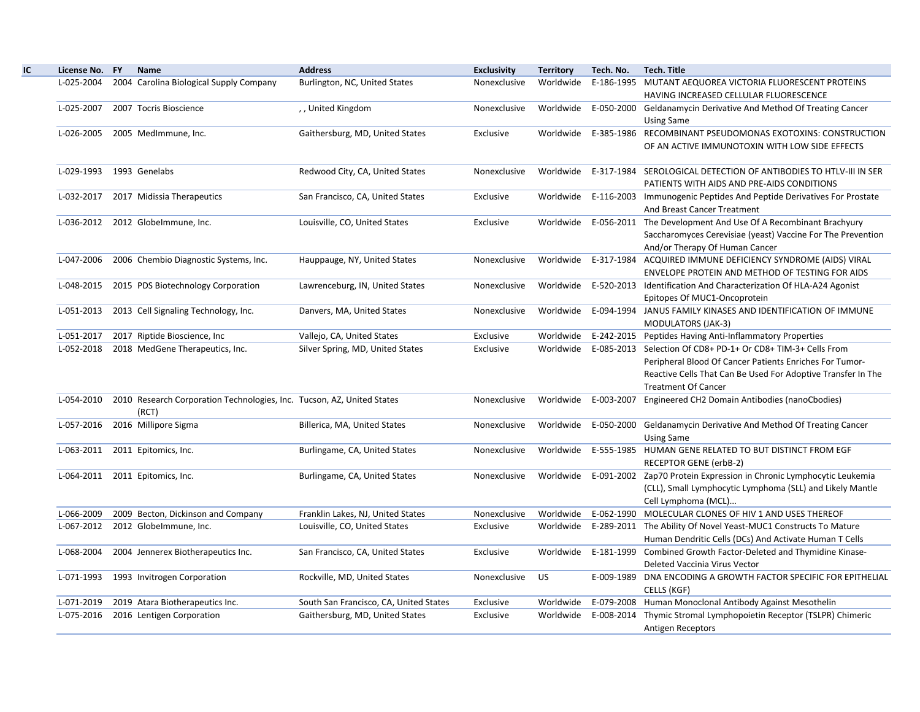| License No. FY | Name                                                                            | <b>Address</b>                         | <b>Exclusivity</b> | <b>Territory</b> | Tech. No.  | <b>Tech. Title</b>                                                             |
|----------------|---------------------------------------------------------------------------------|----------------------------------------|--------------------|------------------|------------|--------------------------------------------------------------------------------|
| L-025-2004     | 2004 Carolina Biological Supply Company                                         | Burlington, NC, United States          | Nonexclusive       | Worldwide        | E-186-1995 | MUTANT AEQUOREA VICTORIA FLUORESCENT PROTEINS                                  |
|                |                                                                                 |                                        |                    |                  |            | HAVING INCREASED CELLULAR FLUORESCENCE                                         |
| L-025-2007     | 2007 Tocris Bioscience                                                          | ,, United Kingdom                      | Nonexclusive       | Worldwide        |            | E-050-2000 Geldanamycin Derivative And Method Of Treating Cancer               |
|                |                                                                                 |                                        |                    |                  |            | <b>Using Same</b>                                                              |
|                | L-026-2005 2005 MedImmune, Inc.                                                 | Gaithersburg, MD, United States        | Exclusive          |                  |            | Worldwide E-385-1986 RECOMBINANT PSEUDOMONAS EXOTOXINS: CONSTRUCTION           |
|                |                                                                                 |                                        |                    |                  |            | OF AN ACTIVE IMMUNOTOXIN WITH LOW SIDE EFFECTS                                 |
| L-029-1993     | 1993 Genelabs                                                                   | Redwood City, CA, United States        | Nonexclusive       | Worldwide        |            | E-317-1984 SEROLOGICAL DETECTION OF ANTIBODIES TO HTLV-III IN SER              |
|                |                                                                                 |                                        |                    |                  |            | PATIENTS WITH AIDS AND PRE-AIDS CONDITIONS                                     |
| L-032-2017     | 2017 Midissia Therapeutics                                                      | San Francisco, CA, United States       | Exclusive          |                  |            | Worldwide E-116-2003 Immunogenic Peptides And Peptide Derivatives For Prostate |
|                |                                                                                 |                                        |                    |                  |            | And Breast Cancer Treatment                                                    |
|                | L-036-2012 2012 Globelmmune, Inc.                                               | Louisville, CO, United States          | Exclusive          |                  |            | Worldwide E-056-2011 The Development And Use Of A Recombinant Brachyury        |
|                |                                                                                 |                                        |                    |                  |            | Saccharomyces Cerevisiae (yeast) Vaccine For The Prevention                    |
|                |                                                                                 |                                        |                    |                  |            | And/or Therapy Of Human Cancer                                                 |
| L-047-2006     | 2006 Chembio Diagnostic Systems, Inc.                                           | Hauppauge, NY, United States           | Nonexclusive       |                  |            | Worldwide E-317-1984 ACQUIRED IMMUNE DEFICIENCY SYNDROME (AIDS) VIRAL          |
|                |                                                                                 |                                        |                    |                  |            | ENVELOPE PROTEIN AND METHOD OF TESTING FOR AIDS                                |
|                | L-048-2015 2015 PDS Biotechnology Corporation                                   | Lawrenceburg, IN, United States        | Nonexclusive       | Worldwide        |            | E-520-2013 Identification And Characterization Of HLA-A24 Agonist              |
|                |                                                                                 |                                        |                    |                  |            | Epitopes Of MUC1-Oncoprotein                                                   |
| L-051-2013     | 2013 Cell Signaling Technology, Inc.                                            | Danvers, MA, United States             | Nonexclusive       | Worldwide        |            | E-094-1994 JANUS FAMILY KINASES AND IDENTIFICATION OF IMMUNE                   |
|                |                                                                                 |                                        |                    |                  |            | <b>MODULATORS (JAK-3)</b>                                                      |
| L-051-2017     | 2017 Riptide Bioscience, Inc.                                                   | Vallejo, CA, United States             | Exclusive          | Worldwide        |            | E-242-2015 Peptides Having Anti-Inflammatory Properties                        |
| L-052-2018     | 2018 MedGene Therapeutics, Inc.                                                 | Silver Spring, MD, United States       | Exclusive          |                  |            | Worldwide E-085-2013 Selection Of CD8+ PD-1+ Or CD8+ TIM-3+ Cells From         |
|                |                                                                                 |                                        |                    |                  |            | Peripheral Blood Of Cancer Patients Enriches For Tumor-                        |
|                |                                                                                 |                                        |                    |                  |            | Reactive Cells That Can Be Used For Adoptive Transfer In The                   |
|                |                                                                                 |                                        |                    |                  |            | <b>Treatment Of Cancer</b>                                                     |
| L-054-2010     | 2010 Research Corporation Technologies, Inc. Tucson, AZ, United States<br>(RCT) |                                        | Nonexclusive       | Worldwide        | E-003-2007 | Engineered CH2 Domain Antibodies (nanoCbodies)                                 |
| L-057-2016     | 2016 Millipore Sigma                                                            | Billerica, MA, United States           | Nonexclusive       |                  |            | Worldwide E-050-2000 Geldanamycin Derivative And Method Of Treating Cancer     |
|                |                                                                                 |                                        |                    |                  |            |                                                                                |
| L-063-2011     | 2011 Epitomics, Inc.                                                            | Burlingame, CA, United States          | Nonexclusive       | Worldwide        |            | <b>Using Same</b><br>E-555-1985 HUMAN GENE RELATED TO BUT DISTINCT FROM EGF    |
|                |                                                                                 |                                        |                    |                  |            | <b>RECEPTOR GENE (erbB-2)</b>                                                  |
|                | L-064-2011 2011 Epitomics, Inc.                                                 | Burlingame, CA, United States          | Nonexclusive       | Worldwide        |            | E-091-2002 Zap70 Protein Expression in Chronic Lymphocytic Leukemia            |
|                |                                                                                 |                                        |                    |                  |            | (CLL), Small Lymphocytic Lymphoma (SLL) and Likely Mantle                      |
|                |                                                                                 |                                        |                    |                  |            | Cell Lymphoma (MCL)                                                            |
| L-066-2009     | 2009 Becton, Dickinson and Company                                              | Franklin Lakes, NJ, United States      | Nonexclusive       | Worldwide        |            | E-062-1990 MOLECULAR CLONES OF HIV 1 AND USES THEREOF                          |
|                | L-067-2012 2012 Globelmmune, Inc.                                               | Louisville, CO, United States          | Exclusive          | Worldwide        |            | E-289-2011 The Ability Of Novel Yeast-MUC1 Constructs To Mature                |
|                |                                                                                 |                                        |                    |                  |            | Human Dendritic Cells (DCs) And Activate Human T Cells                         |
| L-068-2004     | 2004 Jennerex Biotherapeutics Inc.                                              | San Francisco, CA, United States       | Exclusive          | Worldwide        | E-181-1999 | Combined Growth Factor-Deleted and Thymidine Kinase-                           |
|                |                                                                                 |                                        |                    |                  |            | Deleted Vaccinia Virus Vector                                                  |
| L-071-1993     | 1993 Invitrogen Corporation                                                     | Rockville, MD, United States           | Nonexclusive       | US               |            | E-009-1989 DNA ENCODING A GROWTH FACTOR SPECIFIC FOR EPITHELIAL                |
|                |                                                                                 |                                        |                    |                  |            | CELLS (KGF)                                                                    |
| L-071-2019     | 2019 Atara Biotherapeutics Inc.                                                 | South San Francisco, CA, United States | Exclusive          | Worldwide        |            | E-079-2008 Human Monoclonal Antibody Against Mesothelin                        |
| L-075-2016     | 2016 Lentigen Corporation                                                       | Gaithersburg, MD, United States        | Exclusive          |                  |            | Worldwide E-008-2014 Thymic Stromal Lymphopoietin Receptor (TSLPR) Chimeric    |
|                |                                                                                 |                                        |                    |                  |            | Antigen Receptors                                                              |
|                |                                                                                 |                                        |                    |                  |            |                                                                                |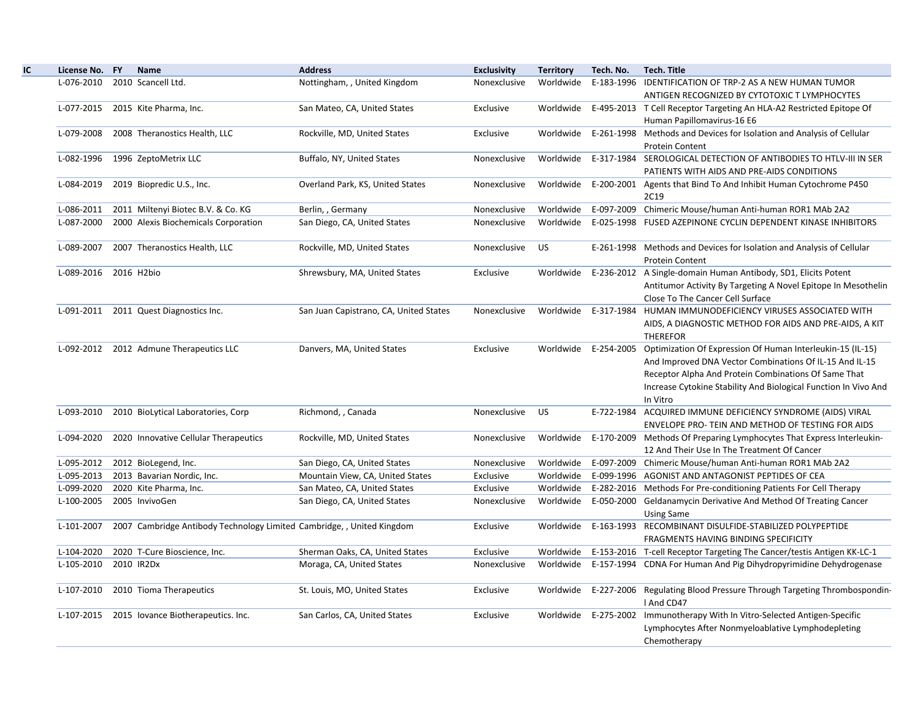| License No. FY | <b>Name</b>                                                            | <b>Address</b>                         | <b>Exclusivity</b> | <b>Territory</b> | Tech. No. | <b>Tech. Title</b>                                                                                                                                                                                                                                                      |
|----------------|------------------------------------------------------------------------|----------------------------------------|--------------------|------------------|-----------|-------------------------------------------------------------------------------------------------------------------------------------------------------------------------------------------------------------------------------------------------------------------------|
| L-076-2010     | 2010 Scancell Ltd.                                                     | Nottingham, , United Kingdom           | Nonexclusive       | Worldwide        |           | E-183-1996 IDENTIFICATION OF TRP-2 AS A NEW HUMAN TUMOR<br>ANTIGEN RECOGNIZED BY CYTOTOXIC T LYMPHOCYTES                                                                                                                                                                |
| L-077-2015     | 2015 Kite Pharma, Inc.                                                 | San Mateo, CA, United States           | Exclusive          | Worldwide        |           | E-495-2013 T Cell Receptor Targeting An HLA-A2 Restricted Epitope Of<br>Human Papillomavirus-16 E6                                                                                                                                                                      |
| L-079-2008     | 2008 Theranostics Health, LLC                                          | Rockville, MD, United States           | Exclusive          | Worldwide        |           | E-261-1998 Methods and Devices for Isolation and Analysis of Cellular<br><b>Protein Content</b>                                                                                                                                                                         |
| L-082-1996     | 1996 ZeptoMetrix LLC                                                   | Buffalo, NY, United States             | Nonexclusive       | Worldwide        |           | E-317-1984 SEROLOGICAL DETECTION OF ANTIBODIES TO HTLV-III IN SER<br>PATIENTS WITH AIDS AND PRE-AIDS CONDITIONS                                                                                                                                                         |
| L-084-2019     | 2019 Biopredic U.S., Inc.                                              | Overland Park, KS, United States       | Nonexclusive       | Worldwide        |           | E-200-2001 Agents that Bind To And Inhibit Human Cytochrome P450<br>2C19                                                                                                                                                                                                |
| L-086-2011     | 2011 Miltenyi Biotec B.V. & Co. KG                                     | Berlin, , Germany                      | Nonexclusive       | Worldwide        |           | E-097-2009 Chimeric Mouse/human Anti-human ROR1 MAb 2A2                                                                                                                                                                                                                 |
| L-087-2000     | 2000 Alexis Biochemicals Corporation                                   | San Diego, CA, United States           | Nonexclusive       | Worldwide        |           | E-025-1998 FUSED AZEPINONE CYCLIN DEPENDENT KINASE INHIBITORS                                                                                                                                                                                                           |
| L-089-2007     | 2007 Theranostics Health, LLC                                          | Rockville, MD, United States           | Nonexclusive       | <b>US</b>        |           | E-261-1998 Methods and Devices for Isolation and Analysis of Cellular<br><b>Protein Content</b>                                                                                                                                                                         |
| L-089-2016     | 2016 H2bio                                                             | Shrewsbury, MA, United States          | Exclusive          | Worldwide        |           | E-236-2012 A Single-domain Human Antibody, SD1, Elicits Potent<br>Antitumor Activity By Targeting A Novel Epitope In Mesothelin<br>Close To The Cancer Cell Surface                                                                                                     |
| L-091-2011     | 2011 Quest Diagnostics Inc.                                            | San Juan Capistrano, CA, United States | Nonexclusive       | Worldwide        |           | E-317-1984 HUMAN IMMUNODEFICIENCY VIRUSES ASSOCIATED WITH<br>AIDS, A DIAGNOSTIC METHOD FOR AIDS AND PRE-AIDS, A KIT<br><b>THEREFOR</b>                                                                                                                                  |
|                | L-092-2012 2012 Admune Therapeutics LLC                                | Danvers, MA, United States             | Exclusive          | Worldwide        |           | E-254-2005 Optimization Of Expression Of Human Interleukin-15 (IL-15)<br>And Improved DNA Vector Combinations Of IL-15 And IL-15<br>Receptor Alpha And Protein Combinations Of Same That<br>Increase Cytokine Stability And Biological Function In Vivo And<br>In Vitro |
| L-093-2010     | 2010 BioLytical Laboratories, Corp                                     | Richmond, , Canada                     | Nonexclusive       | <b>US</b>        |           | E-722-1984 ACQUIRED IMMUNE DEFICIENCY SYNDROME (AIDS) VIRAL<br>ENVELOPE PRO- TEIN AND METHOD OF TESTING FOR AIDS                                                                                                                                                        |
| L-094-2020     | 2020 Innovative Cellular Therapeutics                                  | Rockville, MD, United States           | Nonexclusive       | Worldwide        |           | E-170-2009 Methods Of Preparing Lymphocytes That Express Interleukin-<br>12 And Their Use In The Treatment Of Cancer                                                                                                                                                    |
| L-095-2012     | 2012 BioLegend, Inc.                                                   | San Diego, CA, United States           | Nonexclusive       | Worldwide        |           | E-097-2009 Chimeric Mouse/human Anti-human ROR1 MAb 2A2                                                                                                                                                                                                                 |
| L-095-2013     | 2013 Bavarian Nordic, Inc.                                             | Mountain View, CA, United States       | Exclusive          | Worldwide        |           | E-099-1996 AGONIST AND ANTAGONIST PEPTIDES OF CEA                                                                                                                                                                                                                       |
| L-099-2020     | 2020 Kite Pharma, Inc.                                                 | San Mateo, CA, United States           | Exclusive          | Worldwide        |           | E-282-2016 Methods For Pre-conditioning Patients For Cell Therapy                                                                                                                                                                                                       |
| L-100-2005     | 2005 InvivoGen                                                         | San Diego, CA, United States           | Nonexclusive       | Worldwide        |           | E-050-2000 Geldanamycin Derivative And Method Of Treating Cancer<br><b>Using Same</b>                                                                                                                                                                                   |
| L-101-2007     | 2007 Cambridge Antibody Technology Limited Cambridge, , United Kingdom |                                        | Exclusive          | Worldwide        |           | E-163-1993 RECOMBINANT DISULFIDE-STABILIZED POLYPEPTIDE<br>FRAGMENTS HAVING BINDING SPECIFICITY                                                                                                                                                                         |
| L-104-2020     | 2020 T-Cure Bioscience, Inc.                                           | Sherman Oaks, CA, United States        | Exclusive          | Worldwide        |           | E-153-2016 T-cell Receptor Targeting The Cancer/testis Antigen KK-LC-1                                                                                                                                                                                                  |
| L-105-2010     | 2010 IR2Dx                                                             | Moraga, CA, United States              | Nonexclusive       | Worldwide        |           | E-157-1994 CDNA For Human And Pig Dihydropyrimidine Dehydrogenase                                                                                                                                                                                                       |
| L-107-2010     | 2010 Tioma Therapeutics                                                | St. Louis, MO, United States           | Exclusive          |                  |           | Worldwide E-227-2006 Regulating Blood Pressure Through Targeting Thrombospondin-<br>I And CD47                                                                                                                                                                          |
| L-107-2015     | 2015 lovance Biotherapeutics. Inc.                                     | San Carlos, CA, United States          | Exclusive          |                  |           | Worldwide E-275-2002 Immunotherapy With In Vitro-Selected Antigen-Specific<br>Lymphocytes After Nonmyeloablative Lymphodepleting<br>Chemotherapy                                                                                                                        |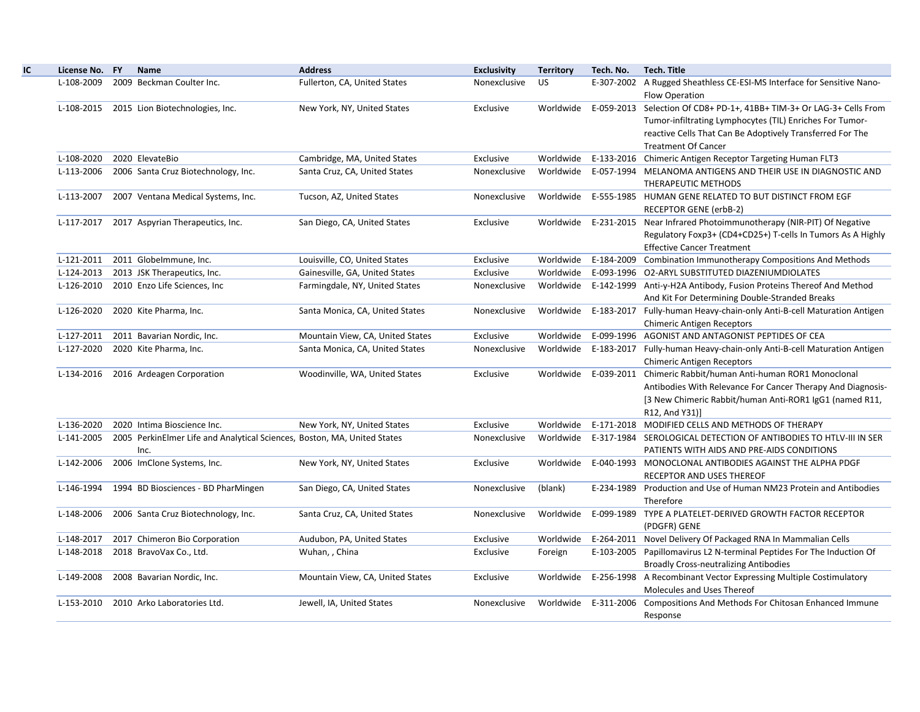| License No. FY | <b>Name</b>                                                              | <b>Address</b>                   | <b>Exclusivity</b> | <b>Territory</b> | Tech. No. | <b>Tech. Title</b>                                                               |
|----------------|--------------------------------------------------------------------------|----------------------------------|--------------------|------------------|-----------|----------------------------------------------------------------------------------|
| L-108-2009     | 2009 Beckman Coulter Inc.                                                | Fullerton, CA, United States     | Nonexclusive       | US.              |           | E-307-2002 A Rugged Sheathless CE-ESI-MS Interface for Sensitive Nano-           |
|                |                                                                          |                                  |                    |                  |           | Flow Operation                                                                   |
| L-108-2015     | 2015 Lion Biotechnologies, Inc.                                          | New York, NY, United States      | Exclusive          |                  |           | Worldwide E-059-2013 Selection Of CD8+ PD-1+, 41BB+ TIM-3+ Or LAG-3+ Cells From  |
|                |                                                                          |                                  |                    |                  |           | Tumor-infiltrating Lymphocytes (TIL) Enriches For Tumor-                         |
|                |                                                                          |                                  |                    |                  |           | reactive Cells That Can Be Adoptively Transferred For The                        |
|                |                                                                          |                                  |                    |                  |           | <b>Treatment Of Cancer</b>                                                       |
| L-108-2020     | 2020 ElevateBio                                                          | Cambridge, MA, United States     | Exclusive          |                  |           | Worldwide E-133-2016 Chimeric Antigen Receptor Targeting Human FLT3              |
| L-113-2006     | 2006 Santa Cruz Biotechnology, Inc.                                      | Santa Cruz, CA, United States    | Nonexclusive       |                  |           | Worldwide E-057-1994 MELANOMA ANTIGENS AND THEIR USE IN DIAGNOSTIC AND           |
|                |                                                                          |                                  |                    |                  |           | THERAPEUTIC METHODS                                                              |
| L-113-2007     | 2007 Ventana Medical Systems, Inc.                                       | Tucson, AZ, United States        | Nonexclusive       |                  |           | Worldwide E-555-1985 HUMAN GENE RELATED TO BUT DISTINCT FROM EGF                 |
|                |                                                                          |                                  |                    |                  |           | RECEPTOR GENE (erbB-2)                                                           |
| L-117-2017     | 2017 Aspyrian Therapeutics, Inc.                                         | San Diego, CA, United States     | Exclusive          |                  |           | Worldwide E-231-2015 Near Infrared Photoimmunotherapy (NIR-PIT) Of Negative      |
|                |                                                                          |                                  |                    |                  |           | Regulatory Foxp3+ (CD4+CD25+) T-cells In Tumors As A Highly                      |
|                |                                                                          |                                  |                    |                  |           | <b>Effective Cancer Treatment</b>                                                |
| L-121-2011     | 2011 Globelmmune, Inc.                                                   | Louisville, CO, United States    | Exclusive          | Worldwide        |           | E-184-2009 Combination Immunotherapy Compositions And Methods                    |
| L-124-2013     | 2013 JSK Therapeutics, Inc.                                              | Gainesville, GA, United States   | Exclusive          |                  |           | Worldwide E-093-1996 O2-ARYL SUBSTITUTED DIAZENIUMDIOLATES                       |
| L-126-2010     | 2010 Enzo Life Sciences, Inc.                                            | Farmingdale, NY, United States   | Nonexclusive       |                  |           | Worldwide E-142-1999 Anti-y-H2A Antibody, Fusion Proteins Thereof And Method     |
|                |                                                                          |                                  |                    |                  |           | And Kit For Determining Double-Stranded Breaks                                   |
| L-126-2020     | 2020 Kite Pharma, Inc.                                                   | Santa Monica, CA, United States  | Nonexclusive       |                  |           | Worldwide E-183-2017 Fully-human Heavy-chain-only Anti-B-cell Maturation Antigen |
|                |                                                                          |                                  |                    |                  |           | <b>Chimeric Antigen Receptors</b>                                                |
| L-127-2011     | 2011 Bavarian Nordic, Inc.                                               | Mountain View, CA, United States | Exclusive          | Worldwide        |           | E-099-1996 AGONIST AND ANTAGONIST PEPTIDES OF CEA                                |
| L-127-2020     | 2020 Kite Pharma, Inc.                                                   | Santa Monica, CA, United States  | Nonexclusive       |                  |           | Worldwide E-183-2017 Fully-human Heavy-chain-only Anti-B-cell Maturation Antigen |
|                |                                                                          |                                  |                    |                  |           | <b>Chimeric Antigen Receptors</b>                                                |
| L-134-2016     | 2016 Ardeagen Corporation                                                | Woodinville, WA, United States   | Exclusive          |                  |           | Worldwide E-039-2011 Chimeric Rabbit/human Anti-human ROR1 Monoclonal            |
|                |                                                                          |                                  |                    |                  |           | Antibodies With Relevance For Cancer Therapy And Diagnosis-                      |
|                |                                                                          |                                  |                    |                  |           | [3 New Chimeric Rabbit/human Anti-ROR1 IgG1 (named R11,                          |
|                |                                                                          |                                  |                    |                  |           | R12, And Y31)]                                                                   |
| L-136-2020     | 2020 Intima Bioscience Inc.                                              | New York, NY, United States      | Exclusive          |                  |           | Worldwide E-171-2018 MODIFIED CELLS AND METHODS OF THERAPY                       |
| L-141-2005     | 2005 PerkinElmer Life and Analytical Sciences, Boston, MA, United States |                                  | Nonexclusive       |                  |           | Worldwide E-317-1984 SEROLOGICAL DETECTION OF ANTIBODIES TO HTLV-III IN SER      |
|                | Inc.                                                                     |                                  |                    |                  |           | PATIENTS WITH AIDS AND PRE-AIDS CONDITIONS                                       |
| L-142-2006     | 2006 ImClone Systems, Inc.                                               | New York, NY, United States      | Exclusive          |                  |           | Worldwide E-040-1993 MONOCLONAL ANTIBODIES AGAINST THE ALPHA PDGF                |
|                |                                                                          |                                  |                    |                  |           | RECEPTOR AND USES THEREOF                                                        |
| L-146-1994     | 1994 BD Biosciences - BD PharMingen                                      | San Diego, CA, United States     | Nonexclusive       | (blank)          |           | E-234-1989 Production and Use of Human NM23 Protein and Antibodies               |
|                |                                                                          |                                  |                    |                  |           | Therefore                                                                        |
| L-148-2006     | 2006 Santa Cruz Biotechnology, Inc.                                      | Santa Cruz, CA, United States    | Nonexclusive       | Worldwide        |           | E-099-1989 TYPE A PLATELET-DERIVED GROWTH FACTOR RECEPTOR                        |
|                |                                                                          |                                  |                    |                  |           | (PDGFR) GENE                                                                     |
| L-148-2017     | 2017 Chimeron Bio Corporation                                            | Audubon, PA, United States       | Exclusive          | Worldwide        |           | E-264-2011 Novel Delivery Of Packaged RNA In Mammalian Cells                     |
| L-148-2018     | 2018 BravoVax Co., Ltd.                                                  | Wuhan,, China                    | Exclusive          | Foreign          |           | E-103-2005 Papillomavirus L2 N-terminal Peptides For The Induction Of            |
|                |                                                                          |                                  |                    |                  |           | <b>Broadly Cross-neutralizing Antibodies</b>                                     |
| L-149-2008     | 2008 Bavarian Nordic, Inc.                                               | Mountain View, CA, United States | Exclusive          | Worldwide        |           | E-256-1998 A Recombinant Vector Expressing Multiple Costimulatory                |
|                |                                                                          |                                  |                    |                  |           | Molecules and Uses Thereof                                                       |
| L-153-2010     | 2010 Arko Laboratories Ltd.                                              | Jewell, IA, United States        | Nonexclusive       |                  |           | Worldwide E-311-2006 Compositions And Methods For Chitosan Enhanced Immune       |
|                |                                                                          |                                  |                    |                  |           | Response                                                                         |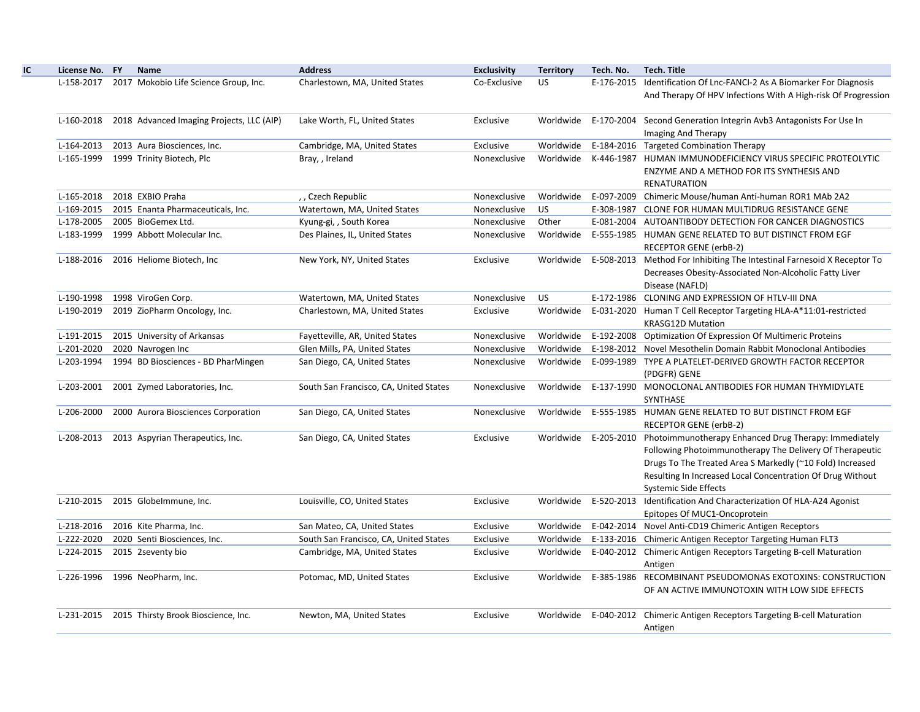| License No. FY | <b>Name</b>                                    | <b>Address</b>                         | <b>Exclusivity</b> | <b>Territory</b> | Tech. No.  | <b>Tech. Title</b>                                                         |
|----------------|------------------------------------------------|----------------------------------------|--------------------|------------------|------------|----------------------------------------------------------------------------|
| L-158-2017     | 2017 Mokobio Life Science Group, Inc.          | Charlestown, MA, United States         | Co-Exclusive       | <b>US</b>        |            | E-176-2015 Identification Of Lnc-FANCI-2 As A Biomarker For Diagnosis      |
|                |                                                |                                        |                    |                  |            | And Therapy Of HPV Infections With A High-risk Of Progression              |
| L-160-2018     | 2018 Advanced Imaging Projects, LLC (AIP)      | Lake Worth, FL, United States          | Exclusive          | Worldwide        |            | E-170-2004 Second Generation Integrin Avb3 Antagonists For Use In          |
|                |                                                |                                        |                    |                  |            | Imaging And Therapy                                                        |
| L-164-2013     | 2013 Aura Biosciences, Inc.                    | Cambridge, MA, United States           | Exclusive          | Worldwide        |            | E-184-2016 Targeted Combination Therapy                                    |
| L-165-1999     | 1999 Trinity Biotech, Plc                      | Bray, , Ireland                        | Nonexclusive       | Worldwide        | K-446-1987 | HUMAN IMMUNODEFICIENCY VIRUS SPECIFIC PROTEOLYTIC                          |
|                |                                                |                                        |                    |                  |            | ENZYME AND A METHOD FOR ITS SYNTHESIS AND                                  |
|                |                                                |                                        |                    |                  |            | <b>RENATURATION</b>                                                        |
| L-165-2018     | 2018 EXBIO Praha                               | ,, Czech Republic                      | Nonexclusive       | Worldwide        |            | E-097-2009 Chimeric Mouse/human Anti-human ROR1 MAb 2A2                    |
| L-169-2015     | 2015 Enanta Pharmaceuticals, Inc.              | Watertown, MA, United States           | Nonexclusive       | US.              |            | E-308-1987 CLONE FOR HUMAN MULTIDRUG RESISTANCE GENE                       |
| L-178-2005     | 2005 BioGemex Ltd.                             | Kyung-gi, , South Korea                | Nonexclusive       | Other            |            | E-081-2004 AUTOANTIBODY DETECTION FOR CANCER DIAGNOSTICS                   |
| L-183-1999     | 1999 Abbott Molecular Inc.                     | Des Plaines, IL, United States         | Nonexclusive       | Worldwide        |            | E-555-1985 HUMAN GENE RELATED TO BUT DISTINCT FROM EGF                     |
|                |                                                |                                        |                    |                  |            | RECEPTOR GENE (erbB-2)                                                     |
| L-188-2016     | 2016 Heliome Biotech, Inc                      | New York, NY, United States            | Exclusive          | Worldwide        |            | E-508-2013 Method For Inhibiting The Intestinal Farnesoid X Receptor To    |
|                |                                                |                                        |                    |                  |            | Decreases Obesity-Associated Non-Alcoholic Fatty Liver                     |
|                |                                                |                                        |                    |                  |            | Disease (NAFLD)                                                            |
| L-190-1998     | 1998 ViroGen Corp.                             | Watertown, MA, United States           | Nonexclusive       | <b>US</b>        |            | E-172-1986 CLONING AND EXPRESSION OF HTLV-III DNA                          |
| L-190-2019     | 2019 ZioPharm Oncology, Inc.                   | Charlestown, MA, United States         | Exclusive          | Worldwide        |            | E-031-2020 Human T Cell Receptor Targeting HLA-A*11:01-restricted          |
|                |                                                |                                        |                    |                  |            | <b>KRASG12D Mutation</b>                                                   |
| L-191-2015     | 2015 University of Arkansas                    | Fayetteville, AR, United States        | Nonexclusive       | Worldwide        |            | E-192-2008 Optimization Of Expression Of Multimeric Proteins               |
| L-201-2020     | 2020 Navrogen Inc                              | Glen Mills, PA, United States          | Nonexclusive       | Worldwide        |            | E-198-2012 Novel Mesothelin Domain Rabbit Monoclonal Antibodies            |
| L-203-1994     | 1994 BD Biosciences - BD PharMingen            | San Diego, CA, United States           | Nonexclusive       | Worldwide        |            | E-099-1989 TYPE A PLATELET-DERIVED GROWTH FACTOR RECEPTOR                  |
|                |                                                |                                        |                    |                  |            | (PDGFR) GENE                                                               |
| L-203-2001     | 2001 Zymed Laboratories, Inc.                  | South San Francisco, CA, United States | Nonexclusive       |                  |            | Worldwide E-137-1990 MONOCLONAL ANTIBODIES FOR HUMAN THYMIDYLATE           |
|                |                                                |                                        |                    |                  |            | SYNTHASE                                                                   |
| L-206-2000     | 2000 Aurora Biosciences Corporation            | San Diego, CA, United States           | Nonexclusive       | Worldwide        |            | E-555-1985 HUMAN GENE RELATED TO BUT DISTINCT FROM EGF                     |
|                |                                                |                                        |                    |                  |            | <b>RECEPTOR GENE (erbB-2)</b>                                              |
| L-208-2013     | 2013 Aspyrian Therapeutics, Inc.               | San Diego, CA, United States           | Exclusive          |                  |            | Worldwide E-205-2010 Photoimmunotherapy Enhanced Drug Therapy: Immediately |
|                |                                                |                                        |                    |                  |            | Following Photoimmunotherapy The Delivery Of Therapeutic                   |
|                |                                                |                                        |                    |                  |            | Drugs To The Treated Area S Markedly (~10 Fold) Increased                  |
|                |                                                |                                        |                    |                  |            | Resulting In Increased Local Concentration Of Drug Without                 |
|                |                                                |                                        |                    |                  |            | <b>Systemic Side Effects</b>                                               |
|                | L-210-2015 2015 Globelmmune, Inc.              | Louisville, CO, United States          | Exclusive          | Worldwide        |            | E-520-2013 Identification And Characterization Of HLA-A24 Agonist          |
|                |                                                |                                        |                    |                  |            | Epitopes Of MUC1-Oncoprotein                                               |
| L-218-2016     | 2016 Kite Pharma, Inc.                         | San Mateo, CA, United States           | Exclusive          | Worldwide        |            | E-042-2014 Novel Anti-CD19 Chimeric Antigen Receptors                      |
| L-222-2020     | 2020 Senti Biosciences, Inc.                   | South San Francisco, CA, United States | Exclusive          | Worldwide        |            | E-133-2016 Chimeric Antigen Receptor Targeting Human FLT3                  |
| L-224-2015     | 2015 2seventy bio                              | Cambridge, MA, United States           | Exclusive          | Worldwide        |            | E-040-2012 Chimeric Antigen Receptors Targeting B-cell Maturation          |
|                |                                                |                                        |                    |                  |            | Antigen                                                                    |
|                | L-226-1996 1996 NeoPharm, Inc.                 | Potomac, MD, United States             | Exclusive          |                  |            | Worldwide E-385-1986 RECOMBINANT PSEUDOMONAS EXOTOXINS: CONSTRUCTION       |
|                |                                                |                                        |                    |                  |            | OF AN ACTIVE IMMUNOTOXIN WITH LOW SIDE EFFECTS                             |
|                |                                                |                                        |                    |                  |            |                                                                            |
|                | L-231-2015 2015 Thirsty Brook Bioscience, Inc. | Newton, MA, United States              | Exclusive          | Worldwide        |            | E-040-2012 Chimeric Antigen Receptors Targeting B-cell Maturation          |
|                |                                                |                                        |                    |                  |            | Antigen                                                                    |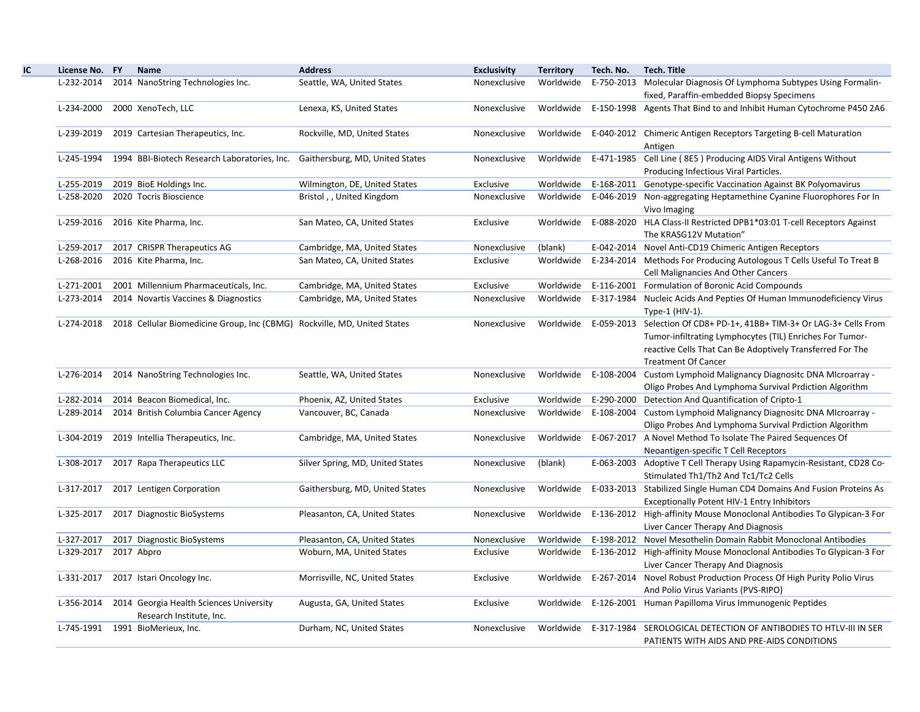| License No. FY | <b>Name</b>                                                                         | <b>Address</b>                   | <b>Exclusivity</b> | <b>Territory</b> | Tech. No. | <b>Tech. Title</b>                                                                                                                                                                                                                     |
|----------------|-------------------------------------------------------------------------------------|----------------------------------|--------------------|------------------|-----------|----------------------------------------------------------------------------------------------------------------------------------------------------------------------------------------------------------------------------------------|
| L-232-2014     | 2014 NanoString Technologies Inc.                                                   | Seattle, WA, United States       | Nonexclusive       |                  |           | Worldwide E-750-2013 Molecular Diagnosis Of Lymphoma Subtypes Using Formalin-<br>fixed, Paraffin-embedded Biopsy Specimens                                                                                                             |
| L-234-2000     | 2000 XenoTech, LLC                                                                  | Lenexa, KS, United States        | Nonexclusive       |                  |           | Worldwide E-150-1998 Agents That Bind to and Inhibit Human Cytochrome P450 2A6                                                                                                                                                         |
| L-239-2019     | 2019 Cartesian Therapeutics, Inc.                                                   | Rockville, MD, United States     | Nonexclusive       |                  |           | Worldwide E-040-2012 Chimeric Antigen Receptors Targeting B-cell Maturation<br>Antigen                                                                                                                                                 |
| L-245-1994     | 1994 BBI-Biotech Research Laboratories, Inc. Gaithersburg, MD, United States        |                                  | Nonexclusive       |                  |           | Worldwide E-471-1985 Cell Line (8E5) Producing AIDS Viral Antigens Without<br>Producing Infectious Viral Particles.                                                                                                                    |
| L-255-2019     | 2019 BioE Holdings Inc.                                                             | Wilmington, DE, United States    | Exclusive          |                  |           | Worldwide E-168-2011 Genotype-specific Vaccination Against BK Polyomavirus                                                                                                                                                             |
| L-258-2020     | 2020 Tocris Bioscience                                                              | Bristol,, United Kingdom         | Nonexclusive       |                  |           | Worldwide E-046-2019 Non-aggregating Heptamethine Cyanine Fluorophores For In<br>Vivo Imaging                                                                                                                                          |
| L-259-2016     | 2016 Kite Pharma, Inc.                                                              | San Mateo, CA, United States     | Exclusive          |                  |           | Worldwide E-088-2020 HLA Class-II Restricted DPB1*03:01 T-cell Receptors Against<br>The KRASG12V Mutation"                                                                                                                             |
| L-259-2017     | 2017 CRISPR Therapeutics AG                                                         | Cambridge, MA, United States     | Nonexclusive       | (blank)          |           | E-042-2014 Novel Anti-CD19 Chimeric Antigen Receptors                                                                                                                                                                                  |
| L-268-2016     | 2016 Kite Pharma, Inc.                                                              | San Mateo, CA, United States     | Exclusive          | Worldwide        |           | E-234-2014 Methods For Producing Autologous T Cells Useful To Treat B<br><b>Cell Malignancies And Other Cancers</b>                                                                                                                    |
| L-271-2001     | 2001 Millennium Pharmaceuticals, Inc.                                               | Cambridge, MA, United States     | Exclusive          |                  |           | Worldwide E-116-2001 Formulation of Boronic Acid Compounds                                                                                                                                                                             |
| L-273-2014     | 2014 Novartis Vaccines & Diagnostics                                                | Cambridge, MA, United States     | Nonexclusive       |                  |           | Worldwide E-317-1984 Nucleic Acids And Pepties Of Human Immunodeficiency Virus<br>Type-1 (HIV-1).                                                                                                                                      |
|                | L-274-2018 2018 Cellular Biomedicine Group, Inc (CBMG) Rockville, MD, United States |                                  | Nonexclusive       |                  |           | Worldwide E-059-2013 Selection Of CD8+ PD-1+, 41BB+ TIM-3+ Or LAG-3+ Cells From<br>Tumor-infiltrating Lymphocytes (TIL) Enriches For Tumor-<br>reactive Cells That Can Be Adoptively Transferred For The<br><b>Treatment Of Cancer</b> |
| L-276-2014     | 2014 NanoString Technologies Inc.                                                   | Seattle, WA, United States       | Nonexclusive       |                  |           | Worldwide E-108-2004 Custom Lymphoid Malignancy Diagnositc DNA MIcroarray -<br>Oligo Probes And Lymphoma Survival Prdiction Algorithm                                                                                                  |
| L-282-2014     | 2014 Beacon Biomedical, Inc.                                                        | Phoenix, AZ, United States       | Exclusive          |                  |           | Worldwide E-290-2000 Detection And Quantification of Cripto-1                                                                                                                                                                          |
| L-289-2014     | 2014 British Columbia Cancer Agency                                                 | Vancouver, BC, Canada            | Nonexclusive       |                  |           | Worldwide E-108-2004 Custom Lymphoid Malignancy Diagnositc DNA MIcroarray -<br>Oligo Probes And Lymphoma Survival Prdiction Algorithm                                                                                                  |
| L-304-2019     | 2019 Intellia Therapeutics, Inc.                                                    | Cambridge, MA, United States     | Nonexclusive       |                  |           | Worldwide E-067-2017 A Novel Method To Isolate The Paired Sequences Of<br>Neoantigen-specific T Cell Receptors                                                                                                                         |
| L-308-2017     | 2017 Rapa Therapeutics LLC                                                          | Silver Spring, MD, United States | Nonexclusive       | (blank)          |           | E-063-2003 Adoptive T Cell Therapy Using Rapamycin-Resistant, CD28 Co-<br>Stimulated Th1/Th2 And Tc1/Tc2 Cells                                                                                                                         |
| L-317-2017     | 2017 Lentigen Corporation                                                           | Gaithersburg, MD, United States  | Nonexclusive       |                  |           | Worldwide E-033-2013 Stabilized Single Human CD4 Domains And Fusion Proteins As<br><b>Exceptionally Potent HIV-1 Entry Inhibitors</b>                                                                                                  |
| L-325-2017     | 2017 Diagnostic BioSystems                                                          | Pleasanton, CA, United States    | Nonexclusive       |                  |           | Worldwide E-136-2012 High-affinity Mouse Monoclonal Antibodies To Glypican-3 For<br>Liver Cancer Therapy And Diagnosis                                                                                                                 |
| L-327-2017     | 2017 Diagnostic BioSystems                                                          | Pleasanton, CA, United States    | Nonexclusive       | Worldwide        |           | E-198-2012 Novel Mesothelin Domain Rabbit Monoclonal Antibodies                                                                                                                                                                        |
| L-329-2017     | 2017 Abpro                                                                          | Woburn, MA, United States        | Exclusive          |                  |           | Worldwide E-136-2012 High-affinity Mouse Monoclonal Antibodies To Glypican-3 For<br>Liver Cancer Therapy And Diagnosis                                                                                                                 |
| L-331-2017     | 2017 Istari Oncology Inc.                                                           | Morrisville, NC, United States   | Exclusive          |                  |           | Worldwide E-267-2014 Novel Robust Production Process Of High Purity Polio Virus<br>And Polio Virus Variants (PVS-RIPO)                                                                                                                 |
| L-356-2014     | 2014 Georgia Health Sciences University<br>Research Institute, Inc.                 | Augusta, GA, United States       | Exclusive          |                  |           | Worldwide E-126-2001 Human Papilloma Virus Immunogenic Peptides                                                                                                                                                                        |
| L-745-1991     | 1991 BioMerieux, Inc.                                                               | Durham, NC, United States        | Nonexclusive       |                  |           | Worldwide E-317-1984 SEROLOGICAL DETECTION OF ANTIBODIES TO HTLV-III IN SER<br>PATIENTS WITH AIDS AND PRE-AIDS CONDITIONS                                                                                                              |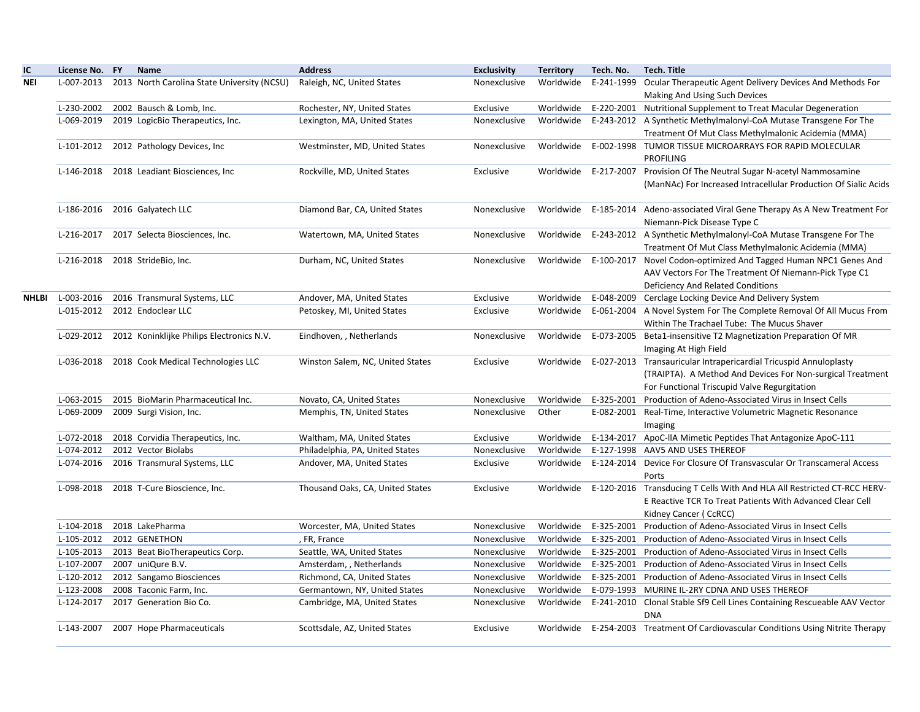| IC           | License No. FY           | <b>Name</b>                                 | <b>Address</b>                               | <b>Exclusivity</b>           | <b>Territory</b> | Tech. No.            | <b>Tech. Title</b>                                                                                                       |
|--------------|--------------------------|---------------------------------------------|----------------------------------------------|------------------------------|------------------|----------------------|--------------------------------------------------------------------------------------------------------------------------|
| <b>NEI</b>   | L-007-2013               | 2013 North Carolina State University (NCSU) | Raleigh, NC, United States                   | Nonexclusive                 | Worldwide        | E-241-1999           | Ocular Therapeutic Agent Delivery Devices And Methods For                                                                |
|              |                          |                                             |                                              |                              |                  |                      | Making And Using Such Devices                                                                                            |
|              | L-230-2002               | 2002 Bausch & Lomb, Inc.                    | Rochester, NY, United States                 | Exclusive                    | Worldwide        |                      | E-220-2001 Nutritional Supplement to Treat Macular Degeneration                                                          |
|              | L-069-2019               | 2019 LogicBio Therapeutics, Inc.            | Lexington, MA, United States                 | Nonexclusive                 | Worldwide        |                      | E-243-2012 A Synthetic Methylmalonyl-CoA Mutase Transgene For The                                                        |
|              |                          |                                             |                                              |                              |                  |                      | Treatment Of Mut Class Methylmalonic Acidemia (MMA)                                                                      |
|              | L-101-2012               | 2012 Pathology Devices, Inc                 | Westminster, MD, United States               | Nonexclusive                 |                  |                      | Worldwide E-002-1998 TUMOR TISSUE MICROARRAYS FOR RAPID MOLECULAR<br><b>PROFILING</b>                                    |
|              | L-146-2018               | 2018 Leadiant Biosciences, Inc.             | Rockville, MD, United States                 | Exclusive                    | Worldwide        | E-217-2007           | Provision Of The Neutral Sugar N-acetyl Nammosamine                                                                      |
|              |                          |                                             |                                              |                              |                  |                      | (ManNAc) For Increased Intracellular Production Of Sialic Acids                                                          |
|              | L-186-2016               | 2016 Galyatech LLC                          | Diamond Bar, CA, United States               | Nonexclusive                 | Worldwide        |                      | E-185-2014 Adeno-associated Viral Gene Therapy As A New Treatment For                                                    |
|              |                          |                                             |                                              |                              |                  |                      | Niemann-Pick Disease Type C                                                                                              |
|              | L-216-2017               | 2017 Selecta Biosciences, Inc.              | Watertown, MA, United States                 | Nonexclusive                 | Worldwide        |                      | E-243-2012 A Synthetic Methylmalonyl-CoA Mutase Transgene For The<br>Treatment Of Mut Class Methylmalonic Acidemia (MMA) |
|              | L-216-2018               | 2018 StrideBio, Inc.                        | Durham, NC, United States                    | Nonexclusive                 | Worldwide        |                      | E-100-2017 Novel Codon-optimized And Tagged Human NPC1 Genes And                                                         |
|              |                          |                                             |                                              |                              |                  |                      | AAV Vectors For The Treatment Of Niemann-Pick Type C1                                                                    |
|              |                          |                                             |                                              |                              |                  |                      | <b>Deficiency And Related Conditions</b>                                                                                 |
| <b>NHLBI</b> | L-003-2016               | 2016 Transmural Systems, LLC                | Andover, MA, United States                   | Exclusive                    | Worldwide        | E-048-2009           | Cerclage Locking Device And Delivery System                                                                              |
|              | L-015-2012               | 2012 Endoclear LLC                          | Petoskey, MI, United States                  | Exclusive                    | Worldwide        |                      | E-061-2004 A Novel System For The Complete Removal Of All Mucus From                                                     |
|              |                          |                                             |                                              |                              |                  |                      | Within The Trachael Tube: The Mucus Shaver                                                                               |
|              | L-029-2012               | 2012 Koninklijke Philips Electronics N.V.   | Eindhoven, , Netherlands                     | Nonexclusive                 |                  |                      | Worldwide E-073-2005 Beta1-insensitive T2 Magnetization Preparation Of MR<br>Imaging At High Field                       |
|              | L-036-2018               | 2018 Cook Medical Technologies LLC          | Winston Salem, NC, United States             | Exclusive                    | Worldwide        |                      | E-027-2013 Transauricular Intrapericardial Tricuspid Annuloplasty                                                        |
|              |                          |                                             |                                              |                              |                  |                      | (TRAIPTA). A Method And Devices For Non-surgical Treatment                                                               |
|              |                          |                                             |                                              |                              |                  |                      | For Functional Triscupid Valve Regurgitation                                                                             |
|              | L-063-2015               | 2015 BioMarin Pharmaceutical Inc.           | Novato, CA, United States                    | Nonexclusive                 | Worldwide        |                      | E-325-2001 Production of Adeno-Associated Virus in Insect Cells                                                          |
|              | L-069-2009               | 2009 Surgi Vision, Inc.                     | Memphis, TN, United States                   | Nonexclusive                 | Other            |                      | E-082-2001 Real-Time, Interactive Volumetric Magnetic Resonance                                                          |
|              |                          |                                             |                                              |                              |                  |                      | Imaging                                                                                                                  |
|              | L-072-2018               | 2018 Corvidia Therapeutics, Inc.            | Waltham, MA, United States                   | Exclusive                    | Worldwide        |                      | E-134-2017 ApoC-IIA Mimetic Peptides That Antagonize ApoC-111                                                            |
|              | L-074-2012               | 2012 Vector Biolabs                         | Philadelphia, PA, United States              | Nonexclusive                 | Worldwide        |                      | E-127-1998 AAV5 AND USES THEREOF                                                                                         |
|              | L-074-2016               | 2016 Transmural Systems, LLC                | Andover, MA, United States                   | Exclusive                    | Worldwide        |                      | E-124-2014 Device For Closure Of Transvascular Or Transcameral Access<br>Ports                                           |
|              | L-098-2018               | 2018 T-Cure Bioscience, Inc.                | Thousand Oaks, CA, United States             | Exclusive                    |                  | Worldwide E-120-2016 | Transducing T Cells With And HLA All Restricted CT-RCC HERV-                                                             |
|              |                          |                                             |                                              |                              |                  |                      | E Reactive TCR To Treat Patients With Advanced Clear Cell                                                                |
|              |                          | 2018 LakePharma                             |                                              |                              | Worldwide        |                      | Kidney Cancer (CcRCC)<br>E-325-2001 Production of Adeno-Associated Virus in Insect Cells                                 |
|              | L-104-2018<br>L-105-2012 | 2012 GENETHON                               | Worcester, MA, United States<br>, FR, France | Nonexclusive<br>Nonexclusive | Worldwide        |                      | E-325-2001 Production of Adeno-Associated Virus in Insect Cells                                                          |
|              | L-105-2013               | 2013 Beat BioTherapeutics Corp.             | Seattle, WA, United States                   | Nonexclusive                 | Worldwide        |                      | E-325-2001 Production of Adeno-Associated Virus in Insect Cells                                                          |
|              | L-107-2007               | 2007 uniQure B.V.                           | Amsterdam, , Netherlands                     | Nonexclusive                 | Worldwide        |                      | E-325-2001 Production of Adeno-Associated Virus in Insect Cells                                                          |
|              | L-120-2012               | 2012 Sangamo Biosciences                    | Richmond, CA, United States                  | Nonexclusive                 | Worldwide        |                      | E-325-2001 Production of Adeno-Associated Virus in Insect Cells                                                          |
|              | L-123-2008               | 2008 Taconic Farm, Inc.                     | Germantown, NY, United States                | Nonexclusive                 | Worldwide        |                      | E-079-1993 MURINE IL-2RY CDNA AND USES THEREOF                                                                           |
|              | L-124-2017               | 2017 Generation Bio Co.                     | Cambridge, MA, United States                 | Nonexclusive                 | Worldwide        |                      | E-241-2010 Clonal Stable Sf9 Cell Lines Containing Rescueable AAV Vector                                                 |
|              |                          |                                             |                                              |                              |                  |                      | <b>DNA</b>                                                                                                               |
|              |                          | L-143-2007 2007 Hope Pharmaceuticals        | Scottsdale, AZ, United States                | Exclusive                    |                  |                      | Worldwide E-254-2003 Treatment Of Cardiovascular Conditions Using Nitrite Therapy                                        |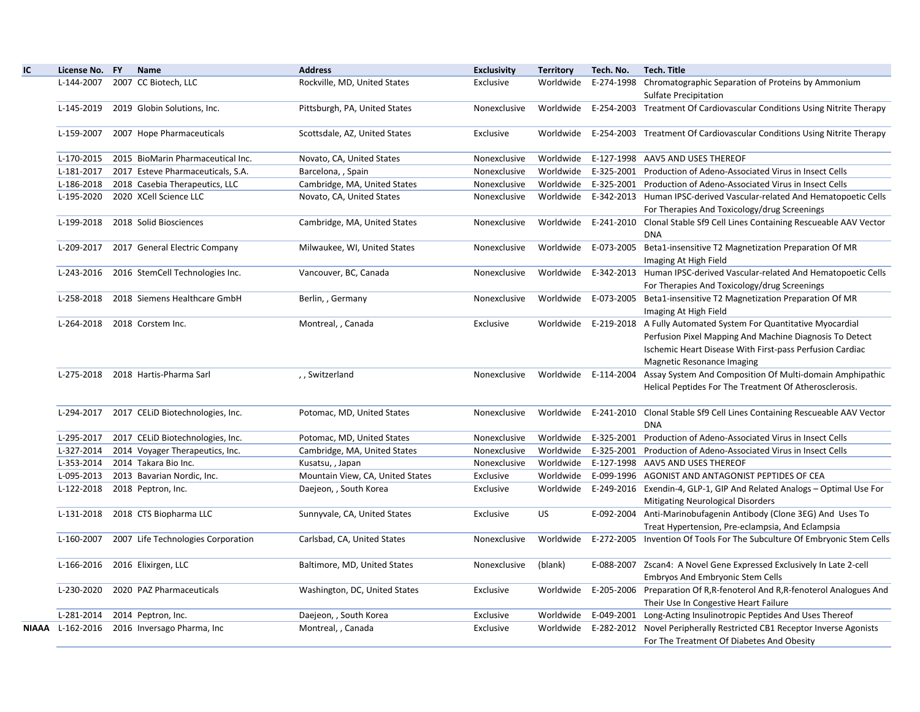| IC. | License No. FY   | Name                                         | <b>Address</b>                   | <b>Exclusivity</b> | <b>Territory</b> | Tech. No. | <b>Tech. Title</b>                                                                                                                                                                                                             |
|-----|------------------|----------------------------------------------|----------------------------------|--------------------|------------------|-----------|--------------------------------------------------------------------------------------------------------------------------------------------------------------------------------------------------------------------------------|
|     | L-144-2007       | 2007 CC Biotech, LLC                         | Rockville, MD, United States     | Exclusive          | Worldwide        |           | E-274-1998 Chromatographic Separation of Proteins by Ammonium<br>Sulfate Precipitation                                                                                                                                         |
|     | L-145-2019       | 2019 Globin Solutions, Inc.                  | Pittsburgh, PA, United States    | Nonexclusive       |                  |           | Worldwide E-254-2003 Treatment Of Cardiovascular Conditions Using Nitrite Therapy                                                                                                                                              |
|     | L-159-2007       | 2007 Hope Pharmaceuticals                    | Scottsdale, AZ, United States    | Exclusive          |                  |           | Worldwide E-254-2003 Treatment Of Cardiovascular Conditions Using Nitrite Therapy                                                                                                                                              |
|     |                  | L-170-2015 2015 BioMarin Pharmaceutical Inc. | Novato, CA, United States        | Nonexclusive       | Worldwide        |           | E-127-1998 AAV5 AND USES THEREOF                                                                                                                                                                                               |
|     | L-181-2017       | 2017 Esteve Pharmaceuticals, S.A.            | Barcelona, , Spain               | Nonexclusive       | Worldwide        |           | E-325-2001 Production of Adeno-Associated Virus in Insect Cells                                                                                                                                                                |
|     | L-186-2018       | 2018 Casebia Therapeutics, LLC               | Cambridge, MA, United States     | Nonexclusive       | Worldwide        |           | E-325-2001 Production of Adeno-Associated Virus in Insect Cells                                                                                                                                                                |
|     | L-195-2020       | 2020 XCell Science LLC                       | Novato, CA, United States        | Nonexclusive       | Worldwide        |           | E-342-2013 Human IPSC-derived Vascular-related And Hematopoetic Cells<br>For Therapies And Toxicology/drug Screenings                                                                                                          |
|     | L-199-2018       | 2018 Solid Biosciences                       | Cambridge, MA, United States     | Nonexclusive       | Worldwide        |           | E-241-2010 Clonal Stable Sf9 Cell Lines Containing Rescueable AAV Vector<br><b>DNA</b>                                                                                                                                         |
|     | L-209-2017       | 2017 General Electric Company                | Milwaukee, WI, United States     | Nonexclusive       |                  |           | Worldwide E-073-2005 Beta1-insensitive T2 Magnetization Preparation Of MR<br>Imaging At High Field                                                                                                                             |
|     | L-243-2016       | 2016 StemCell Technologies Inc.              | Vancouver, BC, Canada            | Nonexclusive       | Worldwide        |           | E-342-2013 Human IPSC-derived Vascular-related And Hematopoetic Cells<br>For Therapies And Toxicology/drug Screenings                                                                                                          |
|     | L-258-2018       | 2018 Siemens Healthcare GmbH                 | Berlin, , Germany                | Nonexclusive       | Worldwide        |           | E-073-2005 Beta1-insensitive T2 Magnetization Preparation Of MR<br>Imaging At High Field                                                                                                                                       |
|     | L-264-2018       | 2018 Corstem Inc.                            | Montreal, , Canada               | Exclusive          |                  |           | Worldwide E-219-2018 A Fully Automated System For Quantitative Myocardial<br>Perfusion Pixel Mapping And Machine Diagnosis To Detect<br>Ischemic Heart Disease With First-pass Perfusion Cardiac<br>Magnetic Resonance Imaging |
|     | L-275-2018       | 2018 Hartis-Pharma Sarl                      | ,, Switzerland                   | Nonexclusive       |                  |           | Worldwide E-114-2004 Assay System And Composition Of Multi-domain Amphipathic<br>Helical Peptides For The Treatment Of Atherosclerosis.                                                                                        |
|     | L-294-2017       | 2017 CELID Biotechnologies, Inc.             | Potomac, MD, United States       | Nonexclusive       | Worldwide        |           | E-241-2010 Clonal Stable Sf9 Cell Lines Containing Rescueable AAV Vector<br><b>DNA</b>                                                                                                                                         |
|     | L-295-2017       | 2017 CELID Biotechnologies, Inc.             | Potomac, MD, United States       | Nonexclusive       | Worldwide        |           | E-325-2001 Production of Adeno-Associated Virus in Insect Cells                                                                                                                                                                |
|     | L-327-2014       | 2014 Voyager Therapeutics, Inc.              | Cambridge, MA, United States     | Nonexclusive       | Worldwide        |           | E-325-2001 Production of Adeno-Associated Virus in Insect Cells                                                                                                                                                                |
|     | L-353-2014       | 2014 Takara Bio Inc.                         | Kusatsu, , Japan                 | Nonexclusive       | Worldwide        |           | E-127-1998 AAV5 AND USES THEREOF                                                                                                                                                                                               |
|     | L-095-2013       | 2013 Bavarian Nordic, Inc.                   | Mountain View, CA, United States | Exclusive          | Worldwide        |           | E-099-1996 AGONIST AND ANTAGONIST PEPTIDES OF CEA                                                                                                                                                                              |
|     | L-122-2018       | 2018 Peptron, Inc.                           | Daejeon, , South Korea           | Exclusive          | Worldwide        |           | E-249-2016 Exendin-4, GLP-1, GIP And Related Analogs - Optimal Use For<br>Mitigating Neurological Disorders                                                                                                                    |
|     | L-131-2018       | 2018 CTS Biopharma LLC                       | Sunnyvale, CA, United States     | Exclusive          | <b>US</b>        |           | E-092-2004 Anti-Marinobufagenin Antibody (Clone 3EG) And Uses To<br>Treat Hypertension, Pre-eclampsia, And Eclampsia                                                                                                           |
|     | L-160-2007       | 2007 Life Technologies Corporation           | Carlsbad, CA, United States      | Nonexclusive       | Worldwide        |           | E-272-2005 Invention Of Tools For The Subculture Of Embryonic Stem Cells                                                                                                                                                       |
|     | L-166-2016       | 2016 Elixirgen, LLC                          | Baltimore, MD, United States     | Nonexclusive       | (blank)          |           | E-088-2007 Zscan4: A Novel Gene Expressed Exclusively In Late 2-cell<br><b>Embryos And Embryonic Stem Cells</b>                                                                                                                |
|     | L-230-2020       | 2020 PAZ Pharmaceuticals                     | Washington, DC, United States    | Exclusive          |                  |           | Worldwide E-205-2006 Preparation Of R,R-fenoterol And R,R-fenoterol Analogues And<br>Their Use In Congestive Heart Failure                                                                                                     |
|     | L-281-2014       | 2014 Peptron, Inc.                           | Daejeon, , South Korea           | Exclusive          | Worldwide        |           | E-049-2001 Long-Acting Insulinotropic Peptides And Uses Thereof                                                                                                                                                                |
|     | NIAAA L-162-2016 | 2016 Inversago Pharma, Inc                   | Montreal, , Canada               | Exclusive          | Worldwide        |           | E-282-2012 Novel Peripherally Restricted CB1 Receptor Inverse Agonists<br>For The Treatment Of Diabetes And Obesity                                                                                                            |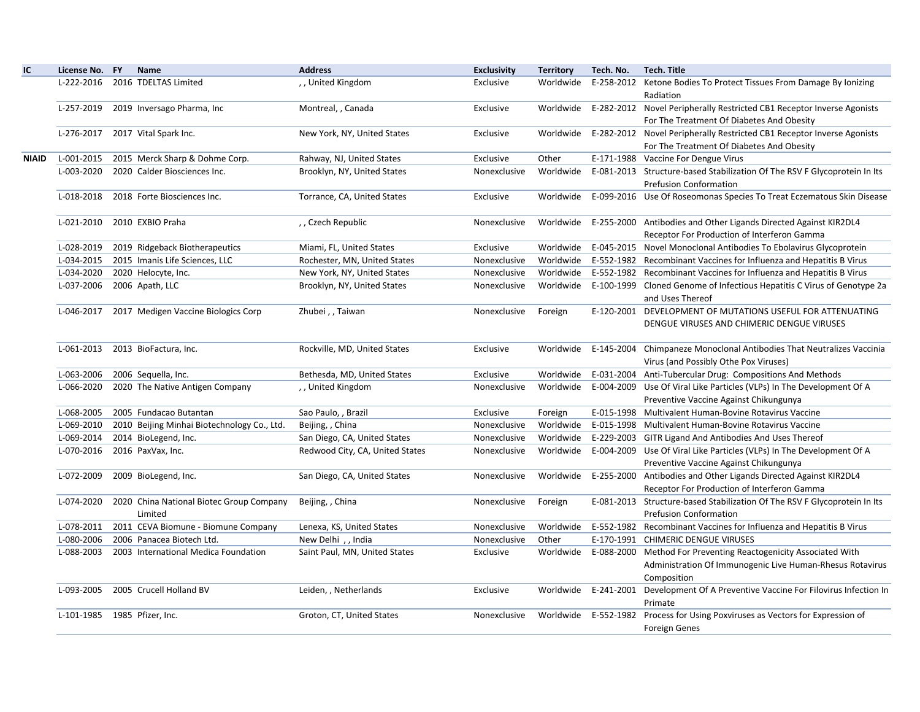| IC.   | License No. FY               | Name                                        | <b>Address</b>                  | <b>Exclusivity</b> | <b>Territory</b> | Tech. No.            | <b>Tech. Title</b>                                                                                         |
|-------|------------------------------|---------------------------------------------|---------------------------------|--------------------|------------------|----------------------|------------------------------------------------------------------------------------------------------------|
|       |                              | L-222-2016 2016 TDELTAS Limited             | ,, United Kingdom               | Exclusive          | Worldwide        |                      | E-258-2012 Ketone Bodies To Protect Tissues From Damage By Ionizing                                        |
|       |                              |                                             |                                 |                    |                  |                      | Radiation                                                                                                  |
|       | L-257-2019                   | 2019 Inversago Pharma, Inc                  | Montreal, , Canada              | Exclusive          |                  |                      | Worldwide E-282-2012 Novel Peripherally Restricted CB1 Receptor Inverse Agonists                           |
|       |                              |                                             |                                 |                    |                  |                      | For The Treatment Of Diabetes And Obesity                                                                  |
|       |                              | L-276-2017 2017 Vital Spark Inc.            | New York, NY, United States     | Exclusive          |                  |                      | Worldwide E-282-2012 Novel Peripherally Restricted CB1 Receptor Inverse Agonists                           |
|       |                              |                                             |                                 |                    |                  |                      | For The Treatment Of Diabetes And Obesity                                                                  |
| NIAID | L-001-2015                   | 2015 Merck Sharp & Dohme Corp.              | Rahway, NJ, United States       | Exclusive          | Other            |                      | E-171-1988 Vaccine For Dengue Virus                                                                        |
|       | L-003-2020                   | 2020 Calder Biosciences Inc.                | Brooklyn, NY, United States     | Nonexclusive       | Worldwide        |                      | E-081-2013 Structure-based Stabilization Of The RSV F Glycoprotein In Its<br><b>Prefusion Conformation</b> |
|       | L-018-2018                   | 2018 Forte Biosciences Inc.                 | Torrance, CA, United States     | Exclusive          |                  |                      | Worldwide E-099-2016 Use Of Roseomonas Species To Treat Eczematous Skin Disease                            |
|       | L-021-2010                   | 2010 EXBIO Praha                            | ,, Czech Republic               | Nonexclusive       |                  |                      | Worldwide E-255-2000 Antibodies and Other Ligands Directed Against KIR2DL4                                 |
|       |                              |                                             |                                 |                    |                  |                      | Receptor For Production of Interferon Gamma                                                                |
|       | L-028-2019                   | 2019 Ridgeback Biotherapeutics              | Miami, FL, United States        | Exclusive          | Worldwide        |                      | E-045-2015 Novel Monoclonal Antibodies To Ebolavirus Glycoprotein                                          |
|       | L-034-2015                   | 2015 Imanis Life Sciences, LLC              | Rochester, MN, United States    | Nonexclusive       | Worldwide        |                      | E-552-1982 Recombinant Vaccines for Influenza and Hepatitis B Virus                                        |
|       | L-034-2020                   | 2020 Helocyte, Inc.                         | New York, NY, United States     | Nonexclusive       | Worldwide        |                      | E-552-1982 Recombinant Vaccines for Influenza and Hepatitis B Virus                                        |
|       | L-037-2006                   | 2006 Apath, LLC                             | Brooklyn, NY, United States     | Nonexclusive       | Worldwide        |                      | E-100-1999 Cloned Genome of Infectious Hepatitis C Virus of Genotype 2a<br>and Uses Thereof                |
|       | L-046-2017                   | 2017 Medigen Vaccine Biologics Corp         | Zhubei,, Taiwan                 | Nonexclusive       | Foreign          |                      | E-120-2001 DEVELOPMENT OF MUTATIONS USEFUL FOR ATTENUATING                                                 |
|       |                              |                                             |                                 |                    |                  |                      | DENGUE VIRUSES AND CHIMERIC DENGUE VIRUSES                                                                 |
|       | L-061-2013                   | 2013 BioFactura, Inc.                       | Rockville, MD, United States    | Exclusive          |                  |                      | Worldwide E-145-2004 Chimpaneze Monoclonal Antibodies That Neutralizes Vaccinia                            |
|       |                              |                                             |                                 |                    |                  |                      | Virus (and Possibly Othe Pox Viruses)                                                                      |
|       | L-063-2006                   | 2006 Sequella, Inc.                         | Bethesda, MD, United States     | Exclusive          | Worldwide        |                      | E-031-2004 Anti-Tubercular Drug: Compositions And Methods                                                  |
|       | L-066-2020                   | 2020 The Native Antigen Company             | ,, United Kingdom               | Nonexclusive       |                  |                      | Worldwide E-004-2009 Use Of Viral Like Particles (VLPs) In The Development Of A                            |
|       |                              |                                             |                                 |                    |                  |                      | Preventive Vaccine Against Chikungunya                                                                     |
|       | L-068-2005                   | 2005 Fundacao Butantan                      | Sao Paulo, , Brazil             | Exclusive          | Foreign          |                      | E-015-1998 Multivalent Human-Bovine Rotavirus Vaccine                                                      |
|       | L-069-2010                   | 2010 Beijing Minhai Biotechnology Co., Ltd. | Beijing, China                  | Nonexclusive       | Worldwide        |                      | E-015-1998 Multivalent Human-Bovine Rotavirus Vaccine                                                      |
|       | L-069-2014                   | 2014 BioLegend, Inc.                        | San Diego, CA, United States    | Nonexclusive       | Worldwide        |                      | E-229-2003 GITR Ligand And Antibodies And Uses Thereof                                                     |
|       |                              | L-070-2016 2016 PaxVax, Inc.                | Redwood City, CA, United States | Nonexclusive       |                  |                      | Worldwide E-004-2009 Use Of Viral Like Particles (VLPs) In The Development Of A                            |
|       |                              |                                             |                                 |                    |                  |                      | Preventive Vaccine Against Chikungunya                                                                     |
|       | L-072-2009                   | 2009 BioLegend, Inc.                        | San Diego, CA, United States    | Nonexclusive       | Worldwide        |                      | E-255-2000 Antibodies and Other Ligands Directed Against KIR2DL4                                           |
|       |                              |                                             |                                 |                    |                  |                      | Receptor For Production of Interferon Gamma                                                                |
|       | L-074-2020                   | 2020 China National Biotec Group Company    | Beijing, , China                | Nonexclusive       | Foreign          |                      | E-081-2013 Structure-based Stabilization Of The RSV F Glycoprotein In Its                                  |
|       |                              | Limited                                     |                                 |                    |                  |                      | Prefusion Conformation                                                                                     |
|       | L-078-2011                   | 2011 CEVA Biomune - Biomune Company         | Lenexa, KS, United States       | Nonexclusive       | Worldwide        |                      | E-552-1982 Recombinant Vaccines for Influenza and Hepatitis B Virus                                        |
|       | L-080-2006                   | 2006 Panacea Biotech Ltd.                   | New Delhi, , India              | Nonexclusive       | Other            |                      | E-170-1991 CHIMERIC DENGUE VIRUSES                                                                         |
|       | L-088-2003                   | 2003 International Medica Foundation        | Saint Paul, MN, United States   | Exclusive          | Worldwide        |                      | E-088-2000 Method For Preventing Reactogenicity Associated With                                            |
|       |                              |                                             |                                 |                    |                  |                      | Administration Of Immunogenic Live Human-Rhesus Rotavirus                                                  |
|       |                              |                                             |                                 |                    |                  |                      | Composition                                                                                                |
|       | L-093-2005                   | 2005 Crucell Holland BV                     | Leiden, , Netherlands           | Exclusive          |                  | Worldwide E-241-2001 | Development Of A Preventive Vaccine For Filovirus Infection In<br>Primate                                  |
|       | L-101-1985 1985 Pfizer, Inc. |                                             | Groton, CT, United States       | Nonexclusive       |                  |                      | Worldwide E-552-1982 Process for Using Poxviruses as Vectors for Expression of                             |
|       |                              |                                             |                                 |                    |                  |                      | <b>Foreign Genes</b>                                                                                       |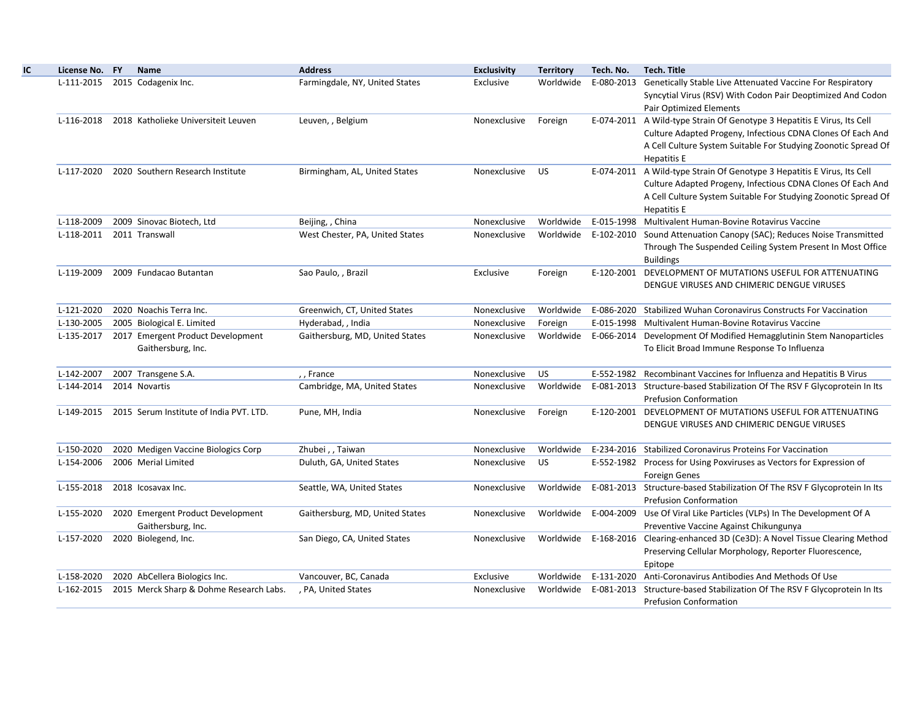| License No. FY | <b>Name</b>                                             | <b>Address</b>                  | <b>Exclusivity</b> | <b>Territory</b> | Tech. No.  | <b>Tech. Title</b>                                                                                                                                                                                                             |
|----------------|---------------------------------------------------------|---------------------------------|--------------------|------------------|------------|--------------------------------------------------------------------------------------------------------------------------------------------------------------------------------------------------------------------------------|
|                | L-111-2015 2015 Codagenix Inc.                          | Farmingdale, NY, United States  | Exclusive          |                  |            | Worldwide E-080-2013 Genetically Stable Live Attenuated Vaccine For Respiratory<br>Syncytial Virus (RSV) With Codon Pair Deoptimized And Codon<br><b>Pair Optimized Elements</b>                                               |
| L-116-2018     | 2018 Katholieke Universiteit Leuven                     | Leuven, , Belgium               | Nonexclusive       | Foreign          |            | E-074-2011 A Wild-type Strain Of Genotype 3 Hepatitis E Virus, Its Cell<br>Culture Adapted Progeny, Infectious CDNA Clones Of Each And<br>A Cell Culture System Suitable For Studying Zoonotic Spread Of<br><b>Hepatitis E</b> |
| L-117-2020     | 2020 Southern Research Institute                        | Birmingham, AL, United States   | Nonexclusive       | <b>US</b>        |            | E-074-2011 A Wild-type Strain Of Genotype 3 Hepatitis E Virus, Its Cell<br>Culture Adapted Progeny, Infectious CDNA Clones Of Each And<br>A Cell Culture System Suitable For Studying Zoonotic Spread Of<br>Hepatitis E        |
| L-118-2009     | 2009 Sinovac Biotech, Ltd                               | Beijing, , China                | Nonexclusive       |                  |            | Worldwide E-015-1998 Multivalent Human-Bovine Rotavirus Vaccine                                                                                                                                                                |
| L-118-2011     | 2011 Transwall                                          | West Chester, PA, United States | Nonexclusive       | Worldwide        | E-102-2010 | Sound Attenuation Canopy (SAC); Reduces Noise Transmitted<br>Through The Suspended Ceiling System Present In Most Office<br><b>Buildings</b>                                                                                   |
| L-119-2009     | 2009 Fundacao Butantan                                  | Sao Paulo, , Brazil             | Exclusive          | Foreign          |            | E-120-2001 DEVELOPMENT OF MUTATIONS USEFUL FOR ATTENUATING<br>DENGUE VIRUSES AND CHIMERIC DENGUE VIRUSES                                                                                                                       |
| L-121-2020     | 2020 Noachis Terra Inc.                                 | Greenwich, CT, United States    | Nonexclusive       |                  |            | Worldwide E-086-2020 Stabilized Wuhan Coronavirus Constructs For Vaccination                                                                                                                                                   |
| L-130-2005     | 2005 Biological E. Limited                              | Hyderabad, , India              | Nonexclusive       | Foreign          |            | E-015-1998 Multivalent Human-Bovine Rotavirus Vaccine                                                                                                                                                                          |
| L-135-2017     | 2017 Emergent Product Development<br>Gaithersburg, Inc. | Gaithersburg, MD, United States | Nonexclusive       |                  |            | Worldwide E-066-2014 Development Of Modified Hemagglutinin Stem Nanoparticles<br>To Elicit Broad Immune Response To Influenza                                                                                                  |
| L-142-2007     | 2007 Transgene S.A.                                     | ,, France                       | Nonexclusive       | <b>US</b>        |            | E-552-1982 Recombinant Vaccines for Influenza and Hepatitis B Virus                                                                                                                                                            |
| L-144-2014     | 2014 Novartis                                           | Cambridge, MA, United States    | Nonexclusive       | Worldwide        |            | E-081-2013 Structure-based Stabilization Of The RSV F Glycoprotein In Its<br><b>Prefusion Conformation</b>                                                                                                                     |
| L-149-2015     | 2015 Serum Institute of India PVT. LTD.                 | Pune, MH, India                 | Nonexclusive       | Foreign          |            | E-120-2001 DEVELOPMENT OF MUTATIONS USEFUL FOR ATTENUATING<br>DENGUE VIRUSES AND CHIMERIC DENGUE VIRUSES                                                                                                                       |
| L-150-2020     | 2020 Medigen Vaccine Biologics Corp                     | Zhubei,, Taiwan                 | Nonexclusive       |                  |            | Worldwide E-234-2016 Stabilized Coronavirus Proteins For Vaccination                                                                                                                                                           |
| L-154-2006     | 2006 Merial Limited                                     | Duluth, GA, United States       | Nonexclusive       | US.              |            | E-552-1982 Process for Using Poxviruses as Vectors for Expression of<br><b>Foreign Genes</b>                                                                                                                                   |
| L-155-2018     | 2018 Icosavax Inc.                                      | Seattle, WA, United States      | Nonexclusive       | Worldwide        |            | E-081-2013 Structure-based Stabilization Of The RSV F Glycoprotein In Its<br><b>Prefusion Conformation</b>                                                                                                                     |
| L-155-2020     | 2020 Emergent Product Development<br>Gaithersburg, Inc. | Gaithersburg, MD, United States | Nonexclusive       | Worldwide        |            | E-004-2009 Use Of Viral Like Particles (VLPs) In The Development Of A<br>Preventive Vaccine Against Chikungunya                                                                                                                |
| L-157-2020     | 2020 Biolegend, Inc.                                    | San Diego, CA, United States    | Nonexclusive       |                  |            | Worldwide E-168-2016 Clearing-enhanced 3D (Ce3D): A Novel Tissue Clearing Method<br>Preserving Cellular Morphology, Reporter Fluorescence,<br>Epitope                                                                          |
| L-158-2020     | 2020 AbCellera Biologics Inc.                           | Vancouver, BC, Canada           | Exclusive          |                  |            | Worldwide E-131-2020 Anti-Coronavirus Antibodies And Methods Of Use                                                                                                                                                            |
| L-162-2015     | 2015 Merck Sharp & Dohme Research Labs.                 | , PA, United States             | Nonexclusive       |                  |            | Worldwide E-081-2013 Structure-based Stabilization Of The RSV F Glycoprotein In Its<br><b>Prefusion Conformation</b>                                                                                                           |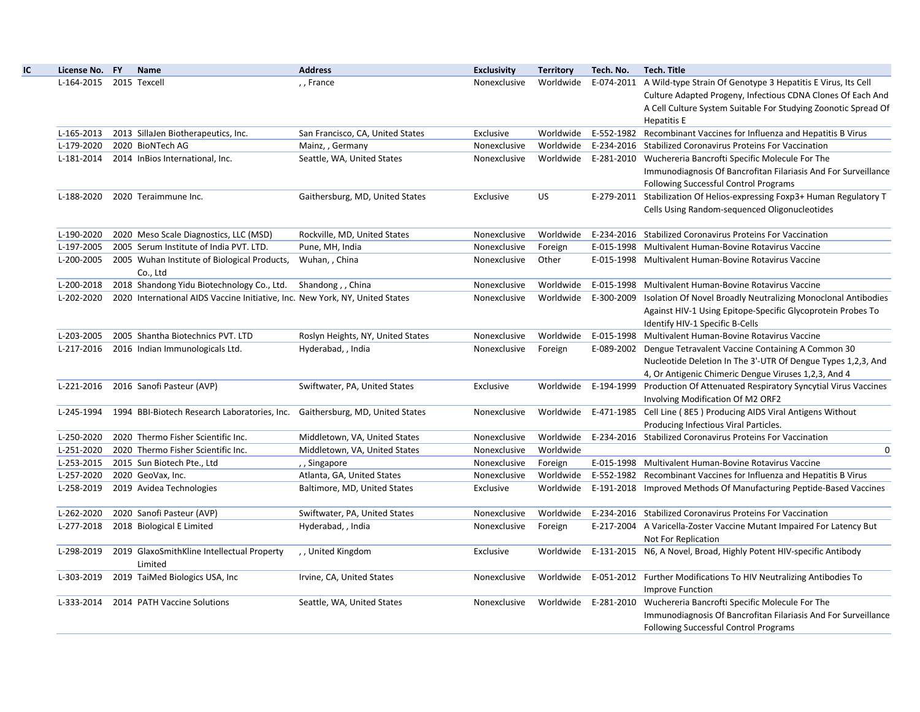| License No. FY          | Name                                                                         | <b>Address</b>                    | <b>Exclusivity</b> | <b>Territory</b> | Tech. No. | <b>Tech. Title</b>                                                       |
|-------------------------|------------------------------------------------------------------------------|-----------------------------------|--------------------|------------------|-----------|--------------------------------------------------------------------------|
| L-164-2015 2015 Texcell |                                                                              | ,, France                         | Nonexclusive       | Worldwide        |           | E-074-2011 A Wild-type Strain Of Genotype 3 Hepatitis E Virus, Its Cell  |
|                         |                                                                              |                                   |                    |                  |           | Culture Adapted Progeny, Infectious CDNA Clones Of Each And              |
|                         |                                                                              |                                   |                    |                  |           | A Cell Culture System Suitable For Studying Zoonotic Spread Of           |
|                         |                                                                              |                                   |                    |                  |           | <b>Hepatitis E</b>                                                       |
| L-165-2013              | 2013 SillaJen Biotherapeutics, Inc.                                          | San Francisco, CA, United States  | Exclusive          | Worldwide        |           | E-552-1982 Recombinant Vaccines for Influenza and Hepatitis B Virus      |
| L-179-2020              | 2020 BioNTech AG                                                             | Mainz, , Germany                  | Nonexclusive       | Worldwide        |           | E-234-2016 Stabilized Coronavirus Proteins For Vaccination               |
| L-181-2014              | 2014 InBios International, Inc.                                              | Seattle, WA, United States        | Nonexclusive       | Worldwide        |           | E-281-2010 Wuchereria Bancrofti Specific Molecule For The                |
|                         |                                                                              |                                   |                    |                  |           | Immunodiagnosis Of Bancrofitan Filariasis And For Surveillance           |
|                         |                                                                              |                                   |                    |                  |           | Following Successful Control Programs                                    |
| L-188-2020              | 2020 Teraimmune Inc.                                                         | Gaithersburg, MD, United States   | Exclusive          | US.              |           | E-279-2011 Stabilization Of Helios-expressing Foxp3+ Human Regulatory T  |
|                         |                                                                              |                                   |                    |                  |           | Cells Using Random-sequenced Oligonucleotides                            |
| L-190-2020              | 2020 Meso Scale Diagnostics, LLC (MSD)                                       | Rockville, MD, United States      | Nonexclusive       | Worldwide        |           | E-234-2016 Stabilized Coronavirus Proteins For Vaccination               |
| L-197-2005              | 2005 Serum Institute of India PVT. LTD.                                      | Pune, MH, India                   | Nonexclusive       | Foreign          |           | E-015-1998 Multivalent Human-Bovine Rotavirus Vaccine                    |
| L-200-2005              | 2005 Wuhan Institute of Biological Products,                                 | Wuhan, , China                    | Nonexclusive       | Other            |           | E-015-1998 Multivalent Human-Bovine Rotavirus Vaccine                    |
|                         | Co., Ltd                                                                     |                                   |                    |                  |           |                                                                          |
| L-200-2018              | 2018 Shandong Yidu Biotechnology Co., Ltd.                                   | Shandong, China                   | Nonexclusive       | Worldwide        |           | E-015-1998 Multivalent Human-Bovine Rotavirus Vaccine                    |
| L-202-2020              | 2020 International AIDS Vaccine Initiative, Inc. New York, NY, United States |                                   | Nonexclusive       | Worldwide        |           | E-300-2009 Isolation Of Novel Broadly Neutralizing Monoclonal Antibodies |
|                         |                                                                              |                                   |                    |                  |           | Against HIV-1 Using Epitope-Specific Glycoprotein Probes To              |
|                         |                                                                              |                                   |                    |                  |           | Identify HIV-1 Specific B-Cells                                          |
| L-203-2005              | 2005 Shantha Biotechnics PVT. LTD                                            | Roslyn Heights, NY, United States | Nonexclusive       | Worldwide        |           | E-015-1998 Multivalent Human-Bovine Rotavirus Vaccine                    |
| L-217-2016              | 2016 Indian Immunologicals Ltd.                                              | Hyderabad, , India                | Nonexclusive       | Foreign          |           | E-089-2002 Dengue Tetravalent Vaccine Containing A Common 30             |
|                         |                                                                              |                                   |                    |                  |           | Nucleotide Deletion In The 3'-UTR Of Dengue Types 1,2,3, And             |
|                         |                                                                              |                                   |                    |                  |           | 4, Or Antigenic Chimeric Dengue Viruses 1, 2, 3, And 4                   |
| L-221-2016              | 2016 Sanofi Pasteur (AVP)                                                    | Swiftwater, PA, United States     | Exclusive          | Worldwide        |           | E-194-1999 Production Of Attenuated Respiratory Syncytial Virus Vaccines |
|                         |                                                                              |                                   |                    |                  |           | Involving Modification Of M2 ORF2                                        |
| L-245-1994              | 1994 BBI-Biotech Research Laboratories, Inc.                                 | Gaithersburg, MD, United States   | Nonexclusive       | Worldwide        |           | E-471-1985 Cell Line (8E5) Producing AIDS Viral Antigens Without         |
|                         |                                                                              |                                   |                    |                  |           | Producing Infectious Viral Particles.                                    |
| L-250-2020              | 2020 Thermo Fisher Scientific Inc.                                           | Middletown, VA, United States     | Nonexclusive       | Worldwide        |           | E-234-2016 Stabilized Coronavirus Proteins For Vaccination               |
| L-251-2020              | 2020 Thermo Fisher Scientific Inc.                                           | Middletown, VA, United States     | Nonexclusive       | Worldwide        |           | $\mathbf 0$                                                              |
| L-253-2015              | 2015 Sun Biotech Pte., Ltd                                                   | ,, Singapore                      | Nonexclusive       | Foreign          |           | E-015-1998 Multivalent Human-Bovine Rotavirus Vaccine                    |
| L-257-2020              | 2020 GeoVax, Inc.                                                            | Atlanta, GA, United States        | Nonexclusive       | Worldwide        |           | E-552-1982 Recombinant Vaccines for Influenza and Hepatitis B Virus      |
| L-258-2019              | 2019 Avidea Technologies                                                     | Baltimore, MD, United States      | Exclusive          | Worldwide        |           | E-191-2018 Improved Methods Of Manufacturing Peptide-Based Vaccines      |
| L-262-2020              | 2020 Sanofi Pasteur (AVP)                                                    | Swiftwater, PA, United States     | Nonexclusive       | Worldwide        |           | E-234-2016 Stabilized Coronavirus Proteins For Vaccination               |
| L-277-2018              | 2018 Biological E Limited                                                    | Hyderabad, , India                | Nonexclusive       | Foreign          |           | E-217-2004 A Varicella-Zoster Vaccine Mutant Impaired For Latency But    |
|                         |                                                                              |                                   |                    |                  |           | Not For Replication                                                      |
| L-298-2019              | 2019 GlaxoSmithKline Intellectual Property                                   | ,, United Kingdom                 | Exclusive          | Worldwide        |           | E-131-2015 N6, A Novel, Broad, Highly Potent HIV-specific Antibody       |
|                         | Limited                                                                      |                                   |                    |                  |           |                                                                          |
| L-303-2019              | 2019 TaiMed Biologics USA, Inc                                               | Irvine, CA, United States         | Nonexclusive       | Worldwide        |           | E-051-2012 Further Modifications To HIV Neutralizing Antibodies To       |
|                         |                                                                              |                                   |                    |                  |           | Improve Function                                                         |
| L-333-2014              | 2014 PATH Vaccine Solutions                                                  | Seattle, WA, United States        | Nonexclusive       | Worldwide        |           | E-281-2010 Wuchereria Bancrofti Specific Molecule For The                |
|                         |                                                                              |                                   |                    |                  |           | Immunodiagnosis Of Bancrofitan Filariasis And For Surveillance           |
|                         |                                                                              |                                   |                    |                  |           | Following Successful Control Programs                                    |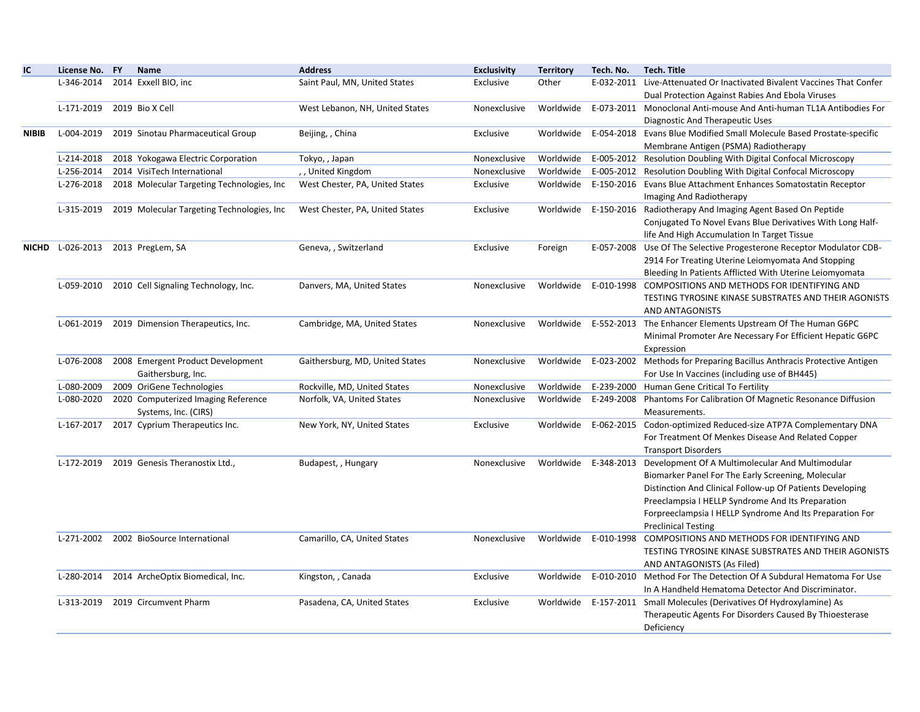| IC           | License No. FY | Name                                        | <b>Address</b>                  | <b>Exclusivity</b> | <b>Territory</b> | Tech. No.            | <b>Tech. Title</b>                                                               |
|--------------|----------------|---------------------------------------------|---------------------------------|--------------------|------------------|----------------------|----------------------------------------------------------------------------------|
|              | L-346-2014     | 2014 Exxell BIO, inc                        | Saint Paul, MN, United States   | Exclusive          | Other            |                      | E-032-2011 Live-Attenuated Or Inactivated Bivalent Vaccines That Confer          |
|              |                |                                             |                                 |                    |                  |                      | Dual Protection Against Rabies And Ebola Viruses                                 |
|              | L-171-2019     | 2019 Bio X Cell                             | West Lebanon, NH, United States | Nonexclusive       |                  |                      | Worldwide E-073-2011 Monoclonal Anti-mouse And Anti-human TL1A Antibodies For    |
|              |                |                                             |                                 |                    |                  |                      | Diagnostic And Therapeutic Uses                                                  |
| <b>NIBIB</b> | L-004-2019     | 2019 Sinotau Pharmaceutical Group           | Beijing, , China                | Exclusive          |                  |                      | Worldwide E-054-2018 Evans Blue Modified Small Molecule Based Prostate-specific  |
|              |                |                                             |                                 |                    |                  |                      | Membrane Antigen (PSMA) Radiotherapy                                             |
|              | L-214-2018     | 2018 Yokogawa Electric Corporation          | Tokyo, , Japan                  | Nonexclusive       | Worldwide        |                      | E-005-2012 Resolution Doubling With Digital Confocal Microscopy                  |
|              | L-256-2014     | 2014 VisiTech International                 | ,, United Kingdom               | Nonexclusive       | Worldwide        |                      | E-005-2012 Resolution Doubling With Digital Confocal Microscopy                  |
|              | L-276-2018     | 2018 Molecular Targeting Technologies, Inc. | West Chester, PA, United States | Exclusive          |                  |                      | Worldwide E-150-2016 Evans Blue Attachment Enhances Somatostatin Receptor        |
|              |                |                                             |                                 |                    |                  |                      | Imaging And Radiotherapy                                                         |
|              | L-315-2019     | 2019 Molecular Targeting Technologies, Inc  | West Chester, PA, United States | Exclusive          |                  |                      | Worldwide E-150-2016 Radiotherapy And Imaging Agent Based On Peptide             |
|              |                |                                             |                                 |                    |                  |                      | Conjugated To Novel Evans Blue Derivatives With Long Half-                       |
|              |                |                                             |                                 |                    |                  |                      | life And High Accumulation In Target Tissue                                      |
| <b>NICHD</b> | L-026-2013     | 2013 PregLem, SA                            | Geneva, , Switzerland           | Exclusive          | Foreign          |                      | E-057-2008 Use Of The Selective Progesterone Receptor Modulator CDB-             |
|              |                |                                             |                                 |                    |                  |                      | 2914 For Treating Uterine Leiomyomata And Stopping                               |
|              |                |                                             |                                 |                    |                  |                      | Bleeding In Patients Afflicted With Uterine Leiomyomata                          |
|              | L-059-2010     | 2010 Cell Signaling Technology, Inc.        | Danvers, MA, United States      | Nonexclusive       |                  | Worldwide E-010-1998 | COMPOSITIONS AND METHODS FOR IDENTIFYING AND                                     |
|              |                |                                             |                                 |                    |                  |                      | TESTING TYROSINE KINASE SUBSTRATES AND THEIR AGONISTS                            |
|              |                |                                             |                                 |                    |                  |                      | AND ANTAGONISTS                                                                  |
|              | L-061-2019     | 2019 Dimension Therapeutics, Inc.           | Cambridge, MA, United States    | Nonexclusive       |                  |                      | Worldwide E-552-2013 The Enhancer Elements Upstream Of The Human G6PC            |
|              |                |                                             |                                 |                    |                  |                      | Minimal Promoter Are Necessary For Efficient Hepatic G6PC                        |
|              |                |                                             |                                 |                    |                  |                      | Expression                                                                       |
|              | L-076-2008     | 2008 Emergent Product Development           | Gaithersburg, MD, United States | Nonexclusive       |                  |                      | Worldwide E-023-2002 Methods for Preparing Bacillus Anthracis Protective Antigen |
|              |                | Gaithersburg, Inc.                          |                                 |                    |                  |                      | For Use In Vaccines (including use of BH445)                                     |
|              | L-080-2009     | 2009 OriGene Technologies                   | Rockville, MD, United States    | Nonexclusive       |                  |                      | Worldwide E-239-2000 Human Gene Critical To Fertility                            |
|              | L-080-2020     | 2020 Computerized Imaging Reference         | Norfolk, VA, United States      | Nonexclusive       |                  |                      | Worldwide E-249-2008 Phantoms For Calibration Of Magnetic Resonance Diffusion    |
|              |                | Systems, Inc. (CIRS)                        |                                 |                    |                  |                      | Measurements.                                                                    |
|              |                | L-167-2017 2017 Cyprium Therapeutics Inc.   | New York, NY, United States     | Exclusive          |                  |                      | Worldwide E-062-2015 Codon-optimized Reduced-size ATP7A Complementary DNA        |
|              |                |                                             |                                 |                    |                  |                      | For Treatment Of Menkes Disease And Related Copper                               |
|              |                |                                             |                                 |                    |                  |                      | <b>Transport Disorders</b>                                                       |
|              | L-172-2019     | 2019 Genesis Theranostix Ltd.,              | Budapest, , Hungary             | Nonexclusive       |                  | Worldwide E-348-2013 | Development Of A Multimolecular And Multimodular                                 |
|              |                |                                             |                                 |                    |                  |                      | Biomarker Panel For The Early Screening, Molecular                               |
|              |                |                                             |                                 |                    |                  |                      | Distinction And Clinical Follow-up Of Patients Developing                        |
|              |                |                                             |                                 |                    |                  |                      | Preeclampsia I HELLP Syndrome And Its Preparation                                |
|              |                |                                             |                                 |                    |                  |                      | Forpreeclampsia I HELLP Syndrome And Its Preparation For                         |
|              |                |                                             |                                 |                    |                  |                      | <b>Preclinical Testing</b>                                                       |
|              | L-271-2002     | 2002 BioSource International                | Camarillo, CA, United States    | Nonexclusive       | Worldwide        |                      | E-010-1998 COMPOSITIONS AND METHODS FOR IDENTIFYING AND                          |
|              |                |                                             |                                 |                    |                  |                      | TESTING TYROSINE KINASE SUBSTRATES AND THEIR AGONISTS                            |
|              |                |                                             |                                 |                    |                  |                      | AND ANTAGONISTS (As Filed)                                                       |
|              | L-280-2014     | 2014 ArcheOptix Biomedical, Inc.            | Kingston, , Canada              | Exclusive          |                  |                      | Worldwide E-010-2010 Method For The Detection Of A Subdural Hematoma For Use     |
|              |                |                                             |                                 |                    |                  |                      | In A Handheld Hematoma Detector And Discriminator.                               |
|              | L-313-2019     | 2019 Circumvent Pharm                       | Pasadena, CA, United States     | Exclusive          |                  |                      | Worldwide E-157-2011 Small Molecules (Derivatives Of Hydroxylamine) As           |
|              |                |                                             |                                 |                    |                  |                      | Therapeutic Agents For Disorders Caused By Thioesterase                          |
|              |                |                                             |                                 |                    |                  |                      | Deficiency                                                                       |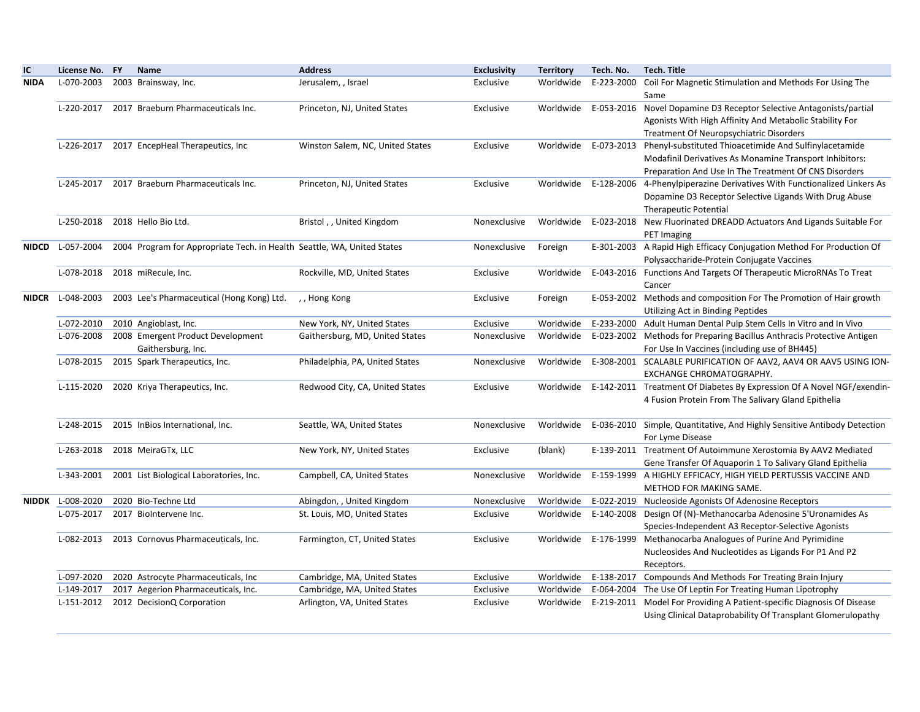| IC          | License No. FY          | Name                                                                    | <b>Address</b>                   | <b>Exclusivity</b> | <b>Territory</b> | Tech. No.  | Tech. Title                                                                                             |
|-------------|-------------------------|-------------------------------------------------------------------------|----------------------------------|--------------------|------------------|------------|---------------------------------------------------------------------------------------------------------|
| <b>NIDA</b> | L-070-2003              | 2003 Brainsway, Inc.                                                    | Jerusalem, , Israel              | Exclusive          | Worldwide        | E-223-2000 | Coil For Magnetic Stimulation and Methods For Using The                                                 |
|             |                         |                                                                         |                                  |                    |                  |            | Same                                                                                                    |
|             | L-220-2017              | 2017 Braeburn Pharmaceuticals Inc.                                      | Princeton, NJ, United States     | Exclusive          |                  |            | Worldwide E-053-2016 Novel Dopamine D3 Receptor Selective Antagonists/partial                           |
|             |                         |                                                                         |                                  |                    |                  |            | Agonists With High Affinity And Metabolic Stability For                                                 |
|             |                         |                                                                         |                                  |                    |                  |            | Treatment Of Neuropsychiatric Disorders                                                                 |
|             | L-226-2017              | 2017 EncepHeal Therapeutics, Inc                                        | Winston Salem, NC, United States | Exclusive          |                  |            | Worldwide E-073-2013 Phenyl-substituted Thioacetimide And Sulfinylacetamide                             |
|             |                         |                                                                         |                                  |                    |                  |            | Modafinil Derivatives As Monamine Transport Inhibitors:                                                 |
|             |                         |                                                                         |                                  |                    |                  |            | Preparation And Use In The Treatment Of CNS Disorders                                                   |
|             |                         | L-245-2017 2017 Braeburn Pharmaceuticals Inc.                           | Princeton, NJ, United States     | Exclusive          |                  |            | Worldwide E-128-2006 4-Phenylpiperazine Derivatives With Functionalized Linkers As                      |
|             |                         |                                                                         |                                  |                    |                  |            | Dopamine D3 Receptor Selective Ligands With Drug Abuse                                                  |
|             |                         |                                                                         |                                  |                    |                  |            | <b>Therapeutic Potential</b>                                                                            |
|             | L-250-2018              | 2018 Hello Bio Ltd.                                                     | Bristol,, United Kingdom         | Nonexclusive       |                  |            | Worldwide E-023-2018 New Fluorinated DREADD Actuators And Ligands Suitable For                          |
|             |                         |                                                                         |                                  |                    |                  |            | PET Imaging                                                                                             |
|             | NIDCD L-057-2004        | 2004 Program for Appropriate Tech. in Health Seattle, WA, United States |                                  | Nonexclusive       | Foreign          |            | E-301-2003 A Rapid High Efficacy Conjugation Method For Production Of                                   |
|             |                         |                                                                         |                                  |                    |                  |            | Polysaccharide-Protein Conjugate Vaccines                                                               |
|             | L-078-2018              | 2018 miRecule, Inc.                                                     | Rockville, MD, United States     | Exclusive          | Worldwide        |            | E-043-2016 Functions And Targets Of Therapeutic MicroRNAs To Treat                                      |
|             | <b>NIDCR</b> L-048-2003 |                                                                         |                                  |                    |                  |            | Cancer                                                                                                  |
|             |                         | 2003 Lee's Pharmaceutical (Hong Kong) Ltd.                              | ,, Hong Kong                     | Exclusive          | Foreign          |            | E-053-2002 Methods and composition For The Promotion of Hair growth                                     |
|             | L-072-2010              | 2010 Angioblast, Inc.                                                   | New York, NY, United States      | Exclusive          | Worldwide        |            | Utilizing Act in Binding Peptides<br>E-233-2000 Adult Human Dental Pulp Stem Cells In Vitro and In Vivo |
|             | L-076-2008              | 2008 Emergent Product Development                                       | Gaithersburg, MD, United States  | Nonexclusive       | Worldwide        |            | E-023-2002 Methods for Preparing Bacillus Anthracis Protective Antigen                                  |
|             |                         | Gaithersburg, Inc.                                                      |                                  |                    |                  |            | For Use In Vaccines (including use of BH445)                                                            |
|             | L-078-2015              | 2015 Spark Therapeutics, Inc.                                           | Philadelphia, PA, United States  | Nonexclusive       |                  |            | Worldwide E-308-2001 SCALABLE PURIFICATION OF AAV2, AAV4 OR AAV5 USING ION-                             |
|             |                         |                                                                         |                                  |                    |                  |            | EXCHANGE CHROMATOGRAPHY.                                                                                |
|             | L-115-2020              | 2020 Kriya Therapeutics, Inc.                                           | Redwood City, CA, United States  | Exclusive          |                  |            | Worldwide E-142-2011 Treatment Of Diabetes By Expression Of A Novel NGF/exendin-                        |
|             |                         |                                                                         |                                  |                    |                  |            | 4 Fusion Protein From The Salivary Gland Epithelia                                                      |
|             |                         |                                                                         |                                  |                    |                  |            |                                                                                                         |
|             | L-248-2015              | 2015 InBios International, Inc.                                         | Seattle, WA, United States       | Nonexclusive       | Worldwide        |            | E-036-2010 Simple, Quantitative, And Highly Sensitive Antibody Detection                                |
|             |                         |                                                                         |                                  |                    |                  |            | For Lyme Disease                                                                                        |
|             | L-263-2018              | 2018 MeiraGTx, LLC                                                      | New York, NY, United States      | Exclusive          | (blank)          |            | E-139-2011 Treatment Of Autoimmune Xerostomia By AAV2 Mediated                                          |
|             |                         |                                                                         |                                  |                    |                  |            | Gene Transfer Of Aquaporin 1 To Salivary Gland Epithelia                                                |
|             |                         | L-343-2001 2001 List Biological Laboratories, Inc.                      | Campbell, CA, United States      | Nonexclusive       | Worldwide        |            | E-159-1999 A HIGHLY EFFICACY, HIGH YIELD PERTUSSIS VACCINE AND                                          |
|             |                         |                                                                         |                                  |                    |                  |            | METHOD FOR MAKING SAME.                                                                                 |
|             | <b>NIDDK</b> L-008-2020 | 2020 Bio-Techne Ltd                                                     | Abingdon, , United Kingdom       | Nonexclusive       | Worldwide        |            | E-022-2019 Nucleoside Agonists Of Adenosine Receptors                                                   |
|             | L-075-2017              | 2017 BioIntervene Inc.                                                  | St. Louis, MO, United States     | Exclusive          | Worldwide        |            | E-140-2008 Design Of (N)-Methanocarba Adenosine 5'Uronamides As                                         |
|             |                         |                                                                         |                                  |                    |                  |            | Species-Independent A3 Receptor-Selective Agonists                                                      |
|             | L-082-2013              | 2013 Cornovus Pharmaceuticals, Inc.                                     | Farmington, CT, United States    | Exclusive          |                  |            | Worldwide E-176-1999 Methanocarba Analogues of Purine And Pyrimidine                                    |
|             |                         |                                                                         |                                  |                    |                  |            | Nucleosides And Nucleotides as Ligands For P1 And P2                                                    |
|             |                         |                                                                         |                                  |                    |                  |            | Receptors.                                                                                              |
|             | L-097-2020              | 2020 Astrocyte Pharmaceuticals, Inc                                     | Cambridge, MA, United States     | Exclusive          | Worldwide        |            | E-138-2017 Compounds And Methods For Treating Brain Injury                                              |
|             | L-149-2017              | 2017 Aegerion Pharmaceuticals, Inc.                                     | Cambridge, MA, United States     | Exclusive          | Worldwide        |            | E-064-2004 The Use Of Leptin For Treating Human Lipotrophy                                              |
|             | L-151-2012              | 2012 DecisionQ Corporation                                              | Arlington, VA, United States     | Exclusive          |                  |            | Worldwide E-219-2011 Model For Providing A Patient-specific Diagnosis Of Disease                        |
|             |                         |                                                                         |                                  |                    |                  |            | Using Clinical Dataprobability Of Transplant Glomerulopathy                                             |